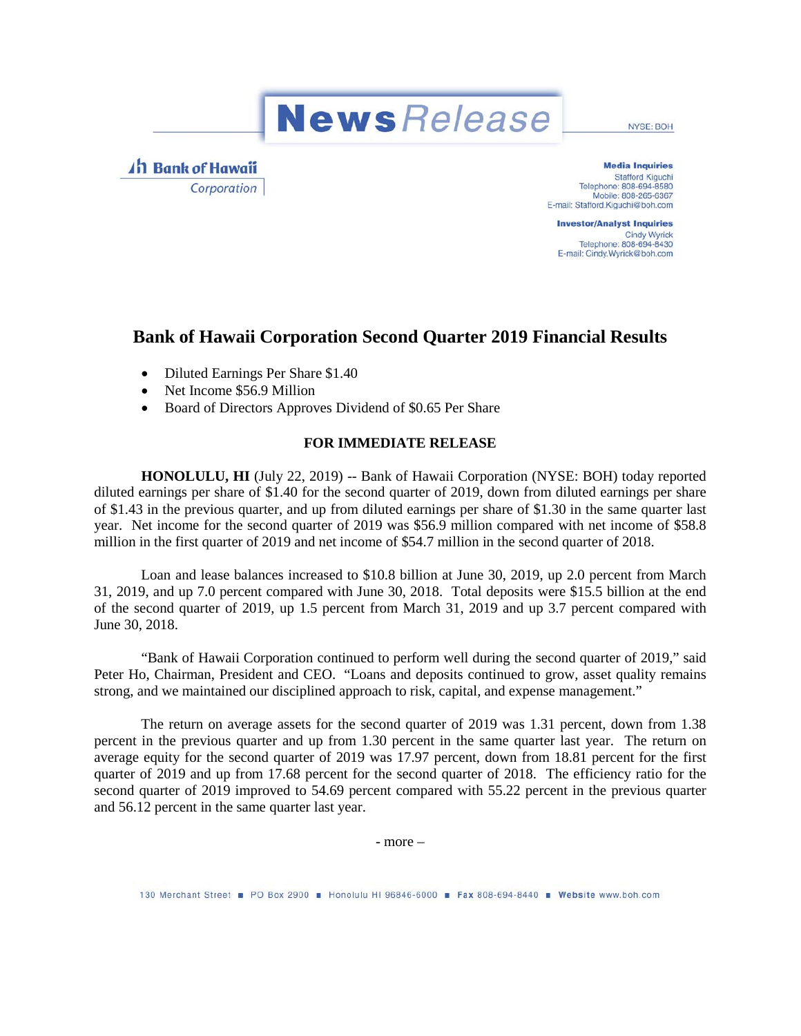**News** Release

NYSE: BOH

4h Bank of Hawaii Corporation

**Media Inquiries Stafford Kiguchi** Telephone: 808-694-8580 Mobile: 808-265-6367 E-mail: Stafford.Kiguchi@boh.com

**Investor/Analyst Inquiries Cindy Wyrick** Telephone: 808-694-8430 E-mail: Cindy.Wyrick@boh.com

## **Bank of Hawaii Corporation Second Quarter 2019 Financial Results**

- Diluted Earnings Per Share \$1.40
- Net Income \$56.9 Million
- Board of Directors Approves Dividend of \$0.65 Per Share

#### **FOR IMMEDIATE RELEASE**

**HONOLULU, HI** (July 22, 2019) -- Bank of Hawaii Corporation (NYSE: BOH) today reported diluted earnings per share of \$1.40 for the second quarter of 2019, down from diluted earnings per share of \$1.43 in the previous quarter, and up from diluted earnings per share of \$1.30 in the same quarter last year. Net income for the second quarter of 2019 was \$56.9 million compared with net income of \$58.8 million in the first quarter of 2019 and net income of \$54.7 million in the second quarter of 2018.

Loan and lease balances increased to \$10.8 billion at June 30, 2019, up 2.0 percent from March 31, 2019, and up 7.0 percent compared with June 30, 2018. Total deposits were \$15.5 billion at the end of the second quarter of 2019, up 1.5 percent from March 31, 2019 and up 3.7 percent compared with June 30, 2018.

"Bank of Hawaii Corporation continued to perform well during the second quarter of 2019," said Peter Ho, Chairman, President and CEO. "Loans and deposits continued to grow, asset quality remains strong, and we maintained our disciplined approach to risk, capital, and expense management."

The return on average assets for the second quarter of 2019 was 1.31 percent, down from 1.38 percent in the previous quarter and up from 1.30 percent in the same quarter last year. The return on average equity for the second quarter of 2019 was 17.97 percent, down from 18.81 percent for the first quarter of 2019 and up from 17.68 percent for the second quarter of 2018. The efficiency ratio for the second quarter of 2019 improved to 54.69 percent compared with 55.22 percent in the previous quarter and 56.12 percent in the same quarter last year.

- more –

130 Merchant Street PO Box 2900 Honolulu HI 96846-6000 F Fax 808-694-8440 Website www.boh.com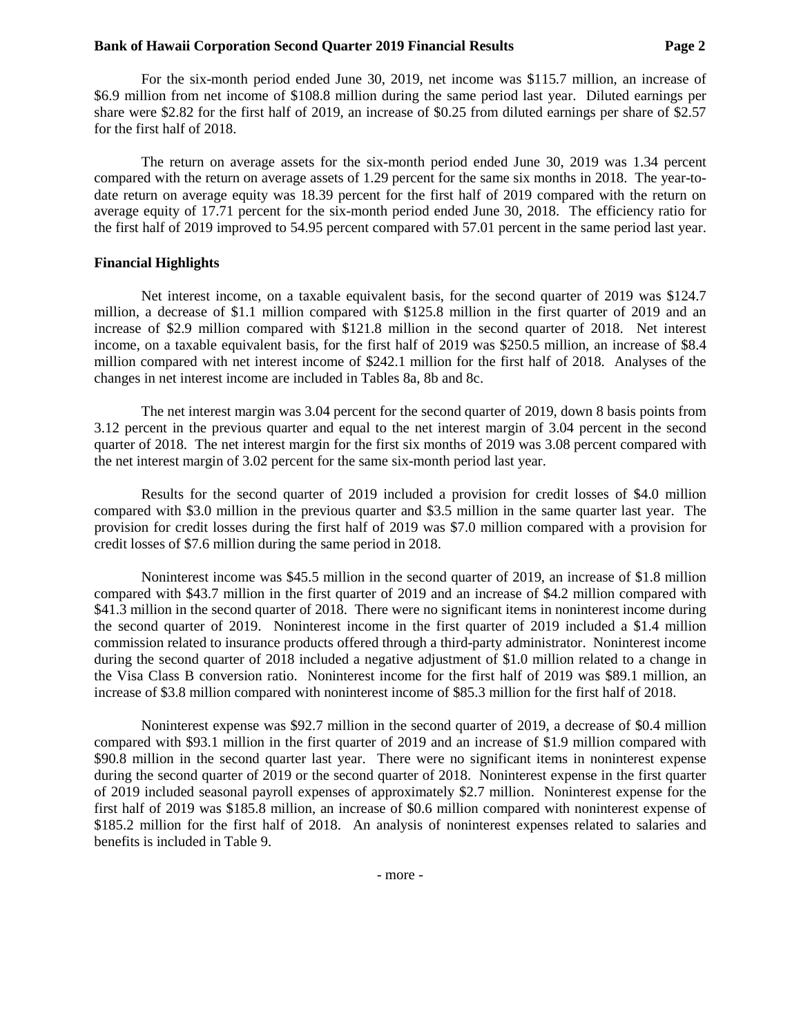For the six-month period ended June 30, 2019, net income was \$115.7 million, an increase of \$6.9 million from net income of \$108.8 million during the same period last year. Diluted earnings per share were \$2.82 for the first half of 2019, an increase of \$0.25 from diluted earnings per share of \$2.57 for the first half of 2018.

The return on average assets for the six-month period ended June 30, 2019 was 1.34 percent compared with the return on average assets of 1.29 percent for the same six months in 2018. The year-todate return on average equity was 18.39 percent for the first half of 2019 compared with the return on average equity of 17.71 percent for the six-month period ended June 30, 2018. The efficiency ratio for the first half of 2019 improved to 54.95 percent compared with 57.01 percent in the same period last year.

#### **Financial Highlights**

Net interest income, on a taxable equivalent basis, for the second quarter of 2019 was \$124.7 million, a decrease of \$1.1 million compared with \$125.8 million in the first quarter of 2019 and an increase of \$2.9 million compared with \$121.8 million in the second quarter of 2018. Net interest income, on a taxable equivalent basis, for the first half of 2019 was \$250.5 million, an increase of \$8.4 million compared with net interest income of \$242.1 million for the first half of 2018. Analyses of the changes in net interest income are included in Tables 8a, 8b and 8c.

The net interest margin was 3.04 percent for the second quarter of 2019, down 8 basis points from 3.12 percent in the previous quarter and equal to the net interest margin of 3.04 percent in the second quarter of 2018. The net interest margin for the first six months of 2019 was 3.08 percent compared with the net interest margin of 3.02 percent for the same six-month period last year.

Results for the second quarter of 2019 included a provision for credit losses of \$4.0 million compared with \$3.0 million in the previous quarter and \$3.5 million in the same quarter last year. The provision for credit losses during the first half of 2019 was \$7.0 million compared with a provision for credit losses of \$7.6 million during the same period in 2018.

Noninterest income was \$45.5 million in the second quarter of 2019, an increase of \$1.8 million compared with \$43.7 million in the first quarter of 2019 and an increase of \$4.2 million compared with \$41.3 million in the second quarter of 2018. There were no significant items in noninterest income during the second quarter of 2019. Noninterest income in the first quarter of 2019 included a \$1.4 million commission related to insurance products offered through a third-party administrator. Noninterest income during the second quarter of 2018 included a negative adjustment of \$1.0 million related to a change in the Visa Class B conversion ratio. Noninterest income for the first half of 2019 was \$89.1 million, an increase of \$3.8 million compared with noninterest income of \$85.3 million for the first half of 2018.

Noninterest expense was \$92.7 million in the second quarter of 2019, a decrease of \$0.4 million compared with \$93.1 million in the first quarter of 2019 and an increase of \$1.9 million compared with \$90.8 million in the second quarter last year. There were no significant items in noninterest expense during the second quarter of 2019 or the second quarter of 2018. Noninterest expense in the first quarter of 2019 included seasonal payroll expenses of approximately \$2.7 million. Noninterest expense for the first half of 2019 was \$185.8 million, an increase of \$0.6 million compared with noninterest expense of \$185.2 million for the first half of 2018. An analysis of noninterest expenses related to salaries and benefits is included in Table 9.

- more -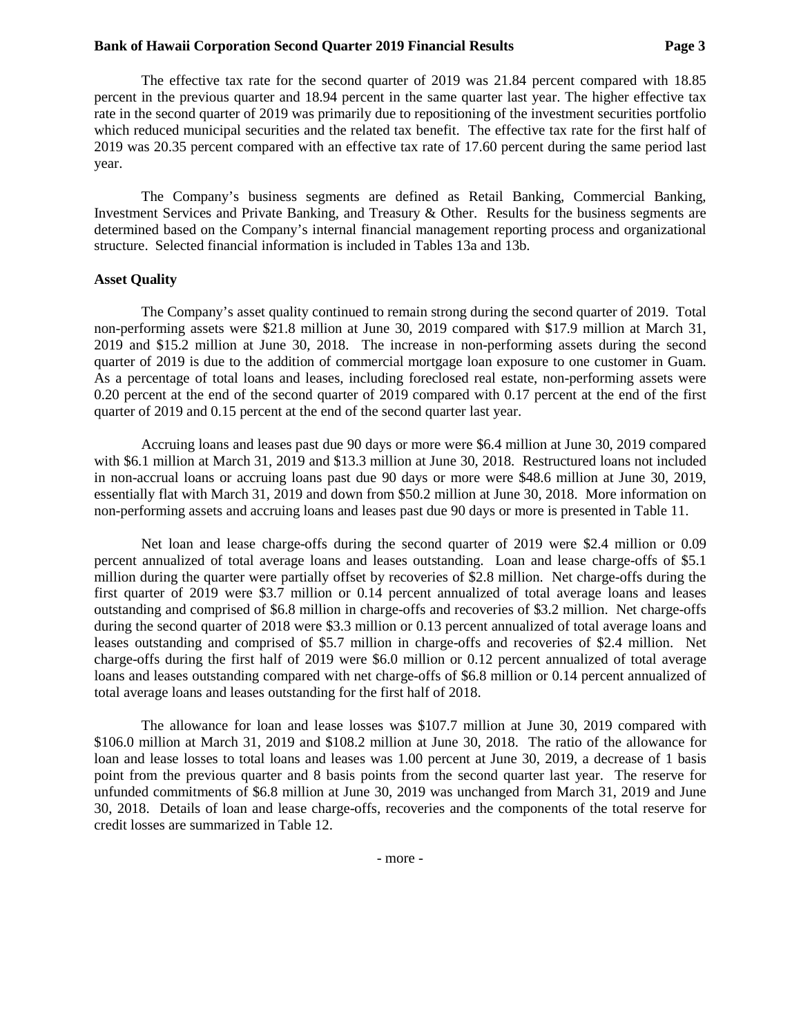The effective tax rate for the second quarter of 2019 was 21.84 percent compared with 18.85 percent in the previous quarter and 18.94 percent in the same quarter last year. The higher effective tax rate in the second quarter of 2019 was primarily due to repositioning of the investment securities portfolio which reduced municipal securities and the related tax benefit. The effective tax rate for the first half of 2019 was 20.35 percent compared with an effective tax rate of 17.60 percent during the same period last year.

The Company's business segments are defined as Retail Banking, Commercial Banking, Investment Services and Private Banking, and Treasury & Other. Results for the business segments are determined based on the Company's internal financial management reporting process and organizational structure. Selected financial information is included in Tables 13a and 13b.

#### **Asset Quality**

The Company's asset quality continued to remain strong during the second quarter of 2019. Total non-performing assets were \$21.8 million at June 30, 2019 compared with \$17.9 million at March 31, 2019 and \$15.2 million at June 30, 2018. The increase in non-performing assets during the second quarter of 2019 is due to the addition of commercial mortgage loan exposure to one customer in Guam. As a percentage of total loans and leases, including foreclosed real estate, non-performing assets were 0.20 percent at the end of the second quarter of 2019 compared with 0.17 percent at the end of the first quarter of 2019 and 0.15 percent at the end of the second quarter last year.

Accruing loans and leases past due 90 days or more were \$6.4 million at June 30, 2019 compared with \$6.1 million at March 31, 2019 and \$13.3 million at June 30, 2018. Restructured loans not included in non-accrual loans or accruing loans past due 90 days or more were \$48.6 million at June 30, 2019, essentially flat with March 31, 2019 and down from \$50.2 million at June 30, 2018. More information on non-performing assets and accruing loans and leases past due 90 days or more is presented in Table 11.

Net loan and lease charge-offs during the second quarter of 2019 were \$2.4 million or 0.09 percent annualized of total average loans and leases outstanding. Loan and lease charge-offs of \$5.1 million during the quarter were partially offset by recoveries of \$2.8 million. Net charge-offs during the first quarter of 2019 were \$3.7 million or 0.14 percent annualized of total average loans and leases outstanding and comprised of \$6.8 million in charge-offs and recoveries of \$3.2 million. Net charge-offs during the second quarter of 2018 were \$3.3 million or 0.13 percent annualized of total average loans and leases outstanding and comprised of \$5.7 million in charge-offs and recoveries of \$2.4 million. Net charge-offs during the first half of 2019 were \$6.0 million or 0.12 percent annualized of total average loans and leases outstanding compared with net charge-offs of \$6.8 million or 0.14 percent annualized of total average loans and leases outstanding for the first half of 2018.

The allowance for loan and lease losses was \$107.7 million at June 30, 2019 compared with \$106.0 million at March 31, 2019 and \$108.2 million at June 30, 2018. The ratio of the allowance for loan and lease losses to total loans and leases was 1.00 percent at June 30, 2019, a decrease of 1 basis point from the previous quarter and 8 basis points from the second quarter last year. The reserve for unfunded commitments of \$6.8 million at June 30, 2019 was unchanged from March 31, 2019 and June 30, 2018. Details of loan and lease charge-offs, recoveries and the components of the total reserve for credit losses are summarized in Table 12.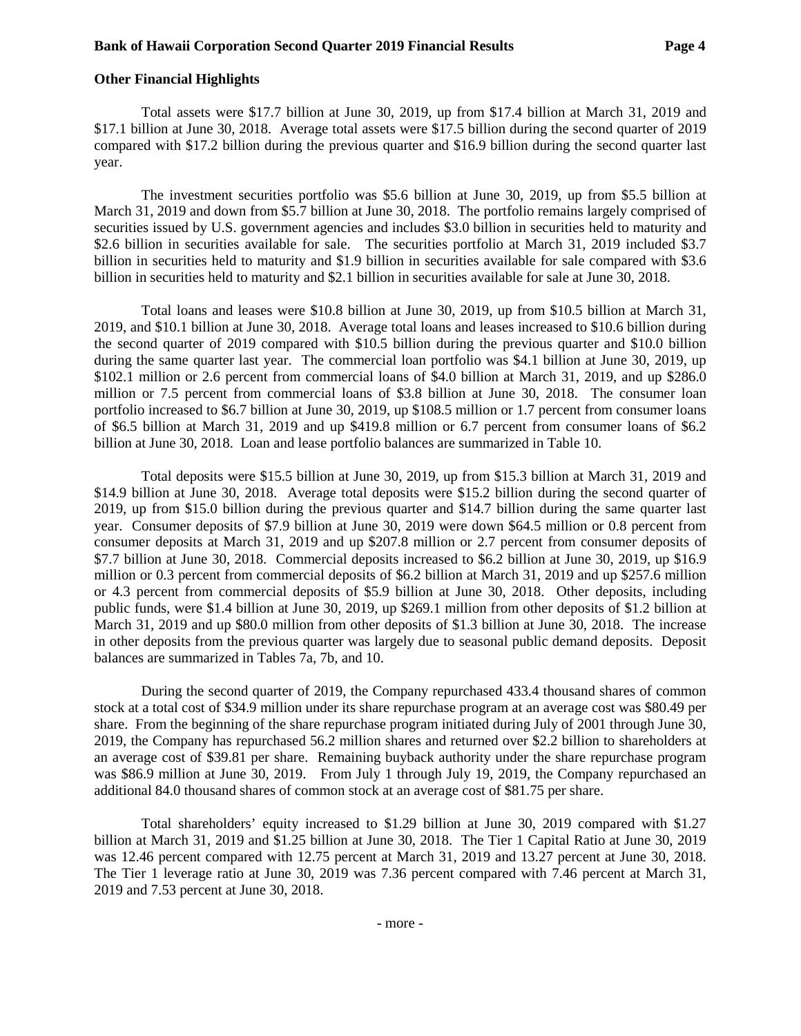#### **Other Financial Highlights**

Total assets were \$17.7 billion at June 30, 2019, up from \$17.4 billion at March 31, 2019 and \$17.1 billion at June 30, 2018. Average total assets were \$17.5 billion during the second quarter of 2019 compared with \$17.2 billion during the previous quarter and \$16.9 billion during the second quarter last year.

The investment securities portfolio was \$5.6 billion at June 30, 2019, up from \$5.5 billion at March 31, 2019 and down from \$5.7 billion at June 30, 2018. The portfolio remains largely comprised of securities issued by U.S. government agencies and includes \$3.0 billion in securities held to maturity and \$2.6 billion in securities available for sale. The securities portfolio at March 31, 2019 included \$3.7 billion in securities held to maturity and \$1.9 billion in securities available for sale compared with \$3.6 billion in securities held to maturity and \$2.1 billion in securities available for sale at June 30, 2018.

Total loans and leases were \$10.8 billion at June 30, 2019, up from \$10.5 billion at March 31, 2019, and \$10.1 billion at June 30, 2018. Average total loans and leases increased to \$10.6 billion during the second quarter of 2019 compared with \$10.5 billion during the previous quarter and \$10.0 billion during the same quarter last year. The commercial loan portfolio was \$4.1 billion at June 30, 2019, up \$102.1 million or 2.6 percent from commercial loans of \$4.0 billion at March 31, 2019, and up \$286.0 million or 7.5 percent from commercial loans of \$3.8 billion at June 30, 2018. The consumer loan portfolio increased to \$6.7 billion at June 30, 2019, up \$108.5 million or 1.7 percent from consumer loans of \$6.5 billion at March 31, 2019 and up \$419.8 million or 6.7 percent from consumer loans of \$6.2 billion at June 30, 2018. Loan and lease portfolio balances are summarized in Table 10.

Total deposits were \$15.5 billion at June 30, 2019, up from \$15.3 billion at March 31, 2019 and \$14.9 billion at June 30, 2018. Average total deposits were \$15.2 billion during the second quarter of 2019, up from \$15.0 billion during the previous quarter and \$14.7 billion during the same quarter last year. Consumer deposits of \$7.9 billion at June 30, 2019 were down \$64.5 million or 0.8 percent from consumer deposits at March 31, 2019 and up \$207.8 million or 2.7 percent from consumer deposits of \$7.7 billion at June 30, 2018. Commercial deposits increased to \$6.2 billion at June 30, 2019, up \$16.9 million or 0.3 percent from commercial deposits of \$6.2 billion at March 31, 2019 and up \$257.6 million or 4.3 percent from commercial deposits of \$5.9 billion at June 30, 2018. Other deposits, including public funds, were \$1.4 billion at June 30, 2019, up \$269.1 million from other deposits of \$1.2 billion at March 31, 2019 and up \$80.0 million from other deposits of \$1.3 billion at June 30, 2018. The increase in other deposits from the previous quarter was largely due to seasonal public demand deposits. Deposit balances are summarized in Tables 7a, 7b, and 10.

During the second quarter of 2019, the Company repurchased 433.4 thousand shares of common stock at a total cost of \$34.9 million under its share repurchase program at an average cost was \$80.49 per share. From the beginning of the share repurchase program initiated during July of 2001 through June 30, 2019, the Company has repurchased 56.2 million shares and returned over \$2.2 billion to shareholders at an average cost of \$39.81 per share. Remaining buyback authority under the share repurchase program was \$86.9 million at June 30, 2019. From July 1 through July 19, 2019, the Company repurchased an additional 84.0 thousand shares of common stock at an average cost of \$81.75 per share.

Total shareholders' equity increased to \$1.29 billion at June 30, 2019 compared with \$1.27 billion at March 31, 2019 and \$1.25 billion at June 30, 2018. The Tier 1 Capital Ratio at June 30, 2019 was 12.46 percent compared with 12.75 percent at March 31, 2019 and 13.27 percent at June 30, 2018. The Tier 1 leverage ratio at June 30, 2019 was 7.36 percent compared with 7.46 percent at March 31, 2019 and 7.53 percent at June 30, 2018.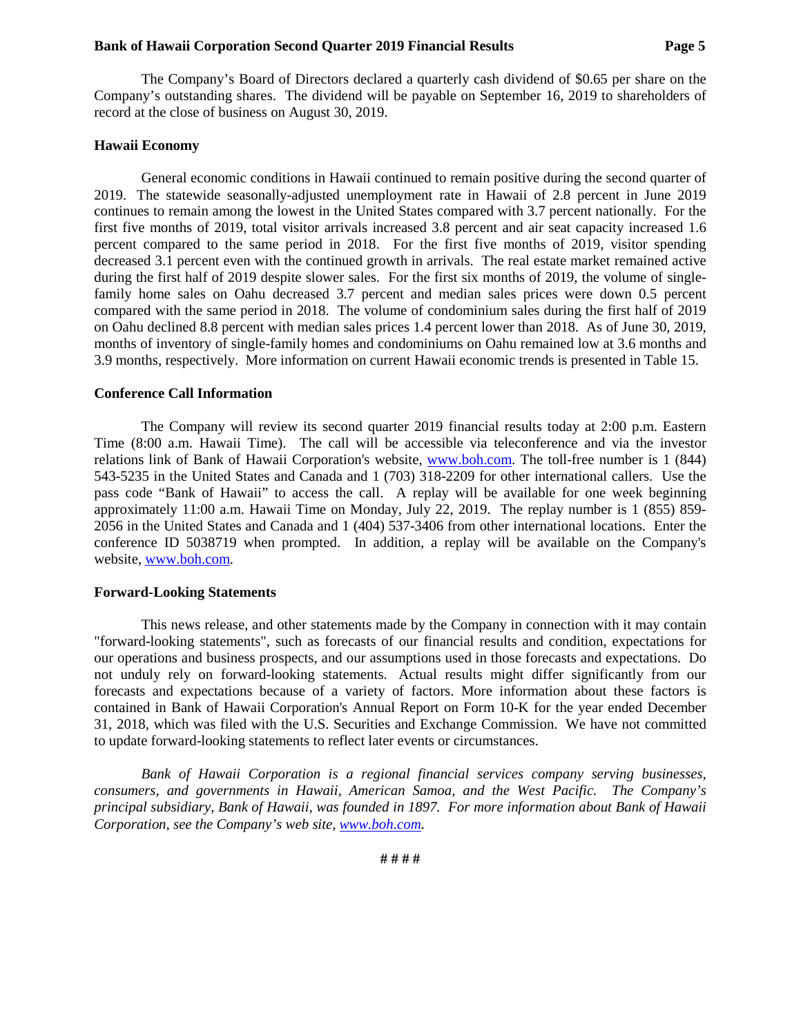The Company's Board of Directors declared a quarterly cash dividend of \$0.65 per share on the Company's outstanding shares. The dividend will be payable on September 16, 2019 to shareholders of record at the close of business on August 30, 2019.

#### **Hawaii Economy**

General economic conditions in Hawaii continued to remain positive during the second quarter of 2019. The statewide seasonally-adjusted unemployment rate in Hawaii of 2.8 percent in June 2019 continues to remain among the lowest in the United States compared with 3.7 percent nationally. For the first five months of 2019, total visitor arrivals increased 3.8 percent and air seat capacity increased 1.6 percent compared to the same period in 2018. For the first five months of 2019, visitor spending decreased 3.1 percent even with the continued growth in arrivals. The real estate market remained active during the first half of 2019 despite slower sales. For the first six months of 2019, the volume of singlefamily home sales on Oahu decreased 3.7 percent and median sales prices were down 0.5 percent compared with the same period in 2018. The volume of condominium sales during the first half of 2019 on Oahu declined 8.8 percent with median sales prices 1.4 percent lower than 2018. As of June 30, 2019, months of inventory of single-family homes and condominiums on Oahu remained low at 3.6 months and 3.9 months, respectively. More information on current Hawaii economic trends is presented in Table 15.

#### **Conference Call Information**

The Company will review its second quarter 2019 financial results today at 2:00 p.m. Eastern Time (8:00 a.m. Hawaii Time). The call will be accessible via teleconference and via the investor relations link of Bank of Hawaii Corporation's website, [www.boh.com.](http://www.boh.com/) The toll-free number is 1 (844) 543-5235 in the United States and Canada and 1 (703) 318-2209 for other international callers. Use the pass code "Bank of Hawaii" to access the call. A replay will be available for one week beginning approximately 11:00 a.m. Hawaii Time on Monday, July 22, 2019. The replay number is 1 (855) 859- 2056 in the United States and Canada and 1 (404) 537-3406 from other international locations. Enter the conference ID 5038719 when prompted. In addition, a replay will be available on the Company's website, [www.boh.com.](http://www.boh.com/)

#### **Forward-Looking Statements**

This news release, and other statements made by the Company in connection with it may contain "forward-looking statements", such as forecasts of our financial results and condition, expectations for our operations and business prospects, and our assumptions used in those forecasts and expectations. Do not unduly rely on forward-looking statements. Actual results might differ significantly from our forecasts and expectations because of a variety of factors. More information about these factors is contained in Bank of Hawaii Corporation's Annual Report on Form 10-K for the year ended December 31, 2018, which was filed with the U.S. Securities and Exchange Commission. We have not committed to update forward-looking statements to reflect later events or circumstances.

*Bank of Hawaii Corporation is a regional financial services company serving businesses, consumers, and governments in Hawaii, American Samoa, and the West Pacific. The Company's principal subsidiary, Bank of Hawaii, was founded in 1897. For more information about Bank of Hawaii Corporation, see the Company's web site, [www.boh.com.](http://www.boh.com/)*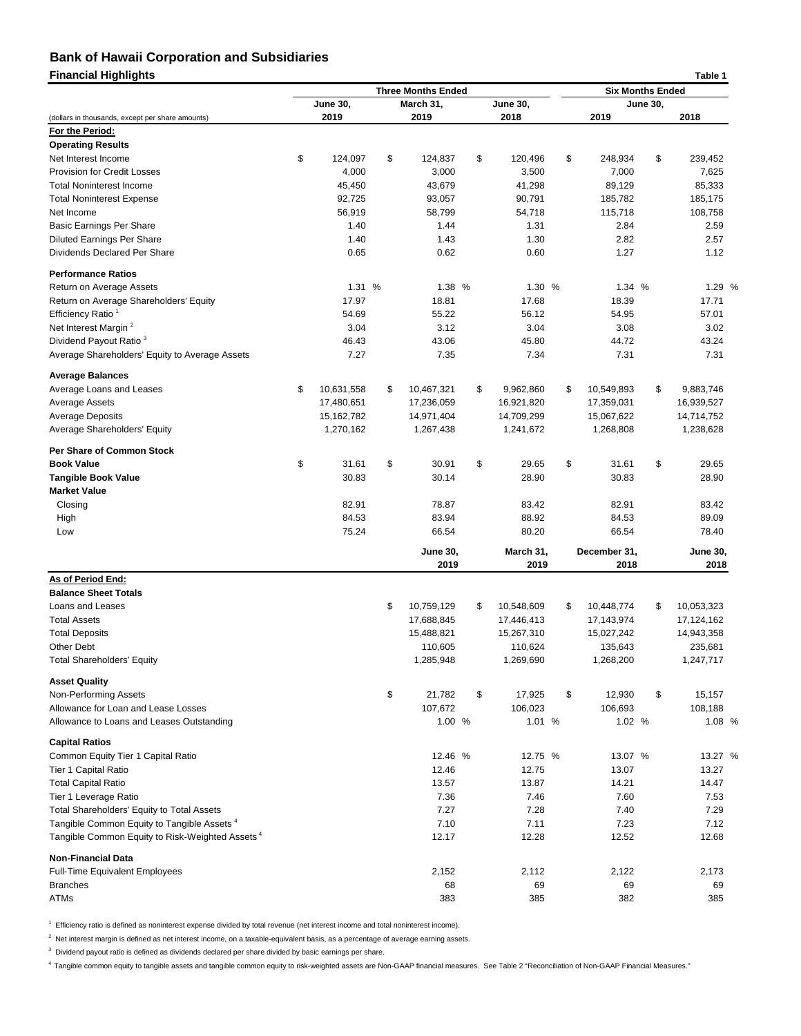| <b>Financial Highlights</b>                                       |                  |                           |               |                  |                         |                    |                 | Table 1         |  |
|-------------------------------------------------------------------|------------------|---------------------------|---------------|------------------|-------------------------|--------------------|-----------------|-----------------|--|
|                                                                   |                  | <b>Three Months Ended</b> |               |                  | <b>Six Months Ended</b> |                    |                 |                 |  |
|                                                                   | <b>June 30,</b>  | March 31,                 |               | <b>June 30,</b>  |                         |                    | <b>June 30,</b> |                 |  |
| (dollars in thousands, except per share amounts)                  | 2019             | 2019                      |               | 2018             |                         | 2019               |                 | 2018            |  |
| For the Period:<br><b>Operating Results</b>                       |                  |                           |               |                  |                         |                    |                 |                 |  |
| Net Interest Income                                               | \$<br>124,097    | \$<br>124,837             | \$            | 120,496          | \$                      | 248,934            | \$              |                 |  |
| <b>Provision for Credit Losses</b>                                | 4,000            |                           |               | 3,500            |                         | 7,000              |                 | 239,452         |  |
| <b>Total Noninterest Income</b>                                   |                  | 3,000                     |               |                  |                         |                    |                 | 7,625           |  |
|                                                                   | 45,450           | 43,679                    |               | 41,298           |                         | 89,129             |                 | 85,333          |  |
| <b>Total Noninterest Expense</b><br>Net Income                    | 92,725<br>56,919 | 93,057<br>58,799          |               | 90,791<br>54,718 |                         | 185,782<br>115,718 |                 | 185,175         |  |
|                                                                   | 1.40             | 1.44                      |               |                  |                         |                    |                 | 108,758         |  |
| <b>Basic Earnings Per Share</b>                                   |                  |                           |               | 1.31             |                         | 2.84               |                 | 2.59            |  |
| <b>Diluted Earnings Per Share</b><br>Dividends Declared Per Share | 1.40<br>0.65     | 1.43<br>0.62              |               | 1.30<br>0.60     |                         | 2.82<br>1.27       |                 | 2.57<br>1.12    |  |
| <b>Performance Ratios</b>                                         |                  |                           |               |                  |                         |                    |                 |                 |  |
| Return on Average Assets                                          | 1.31 %           | 1.38 %                    |               | 1.30 %           |                         | 1.34 %             |                 | 1.29 %          |  |
|                                                                   | 17.97            | 18.81                     |               | 17.68            |                         | 18.39              |                 | 17.71           |  |
| Return on Average Shareholders' Equity                            |                  | 55.22                     |               | 56.12            |                         | 54.95              |                 | 57.01           |  |
| Efficiency Ratio <sup>1</sup><br>Net Interest Margin <sup>2</sup> | 54.69            | 3.12                      |               |                  |                         | 3.08               |                 |                 |  |
| Dividend Payout Ratio <sup>3</sup>                                | 3.04<br>46.43    | 43.06                     |               | 3.04<br>45.80    |                         | 44.72              |                 | 3.02<br>43.24   |  |
| Average Shareholders' Equity to Average Assets                    | 7.27             | 7.35                      |               | 7.34             |                         | 7.31               |                 | 7.31            |  |
| <b>Average Balances</b>                                           |                  |                           |               |                  |                         |                    |                 |                 |  |
| Average Loans and Leases                                          | \$<br>10,631,558 | \$<br>10,467,321          | \$            | 9,962,860        | \$                      | 10,549,893         | \$              | 9,883,746       |  |
| <b>Average Assets</b>                                             | 17,480,651       | 17,236,059                |               | 16,921,820       |                         | 17,359,031         |                 | 16,939,527      |  |
| <b>Average Deposits</b>                                           | 15,162,782       | 14,971,404                |               | 14,709,299       |                         | 15,067,622         |                 | 14,714,752      |  |
| Average Shareholders' Equity                                      | 1,270,162        | 1,267,438                 |               | 1,241,672        |                         | 1,268,808          |                 | 1,238,628       |  |
| <b>Per Share of Common Stock</b>                                  |                  |                           |               |                  |                         |                    |                 |                 |  |
| <b>Book Value</b>                                                 | \$<br>31.61      | \$<br>30.91               | \$            | 29.65            | \$                      | 31.61              | \$              | 29.65           |  |
| <b>Tangible Book Value</b>                                        | 30.83            | 30.14                     |               | 28.90            |                         | 30.83              |                 | 28.90           |  |
| <b>Market Value</b>                                               |                  |                           |               |                  |                         |                    |                 |                 |  |
| Closing                                                           | 82.91            | 78.87                     |               | 83.42            |                         | 82.91              |                 | 83.42           |  |
| High                                                              | 84.53            | 83.94                     |               | 88.92            |                         | 84.53              |                 | 89.09           |  |
| Low                                                               | 75.24            | 66.54                     |               | 80.20            |                         | 66.54              |                 | 78.40           |  |
|                                                                   |                  | <b>June 30,</b>           |               | March 31,        |                         | December 31,       |                 | <b>June 30,</b> |  |
|                                                                   |                  | 2019                      |               | 2019             |                         | 2018               |                 | 2018            |  |
| As of Period End:                                                 |                  |                           |               |                  |                         |                    |                 |                 |  |
| <b>Balance Sheet Totals</b>                                       |                  |                           |               |                  |                         |                    |                 |                 |  |
| Loans and Leases                                                  |                  | \$<br>10,759,129          | \$            | 10,548,609       | \$                      | 10,448,774         | \$              | 10,053,323      |  |
| <b>Total Assets</b>                                               |                  | 17,688,845                |               | 17,446,413       |                         | 17,143,974         |                 | 17,124,162      |  |
| <b>Total Deposits</b>                                             |                  | 15,488,821                |               | 15,267,310       |                         | 15,027,242         |                 | 14,943,358      |  |
| <b>Other Debt</b>                                                 |                  | 110,605                   |               | 110,624          |                         | 135,643            |                 | 235,681         |  |
| <b>Total Shareholders' Equity</b>                                 |                  | 1,285,948                 |               | 1,269,690        |                         | 1,268,200          |                 | 1,247,717       |  |
| <b>Asset Quality</b>                                              |                  |                           |               |                  |                         |                    |                 |                 |  |
| Non-Performing Assets                                             |                  | \$<br>21,782              | $\sqrt[6]{2}$ | 17,925           | \$                      | 12,930             | \$              | 15,157          |  |
| Allowance for Loan and Lease Losses                               |                  | 107,672                   |               | 106,023          |                         | 106,693            |                 | 108,188         |  |
| Allowance to Loans and Leases Outstanding                         |                  | 1.00 %                    |               | 1.01 %           |                         | 1.02 %             |                 | 1.08 %          |  |
| <b>Capital Ratios</b>                                             |                  |                           |               |                  |                         |                    |                 |                 |  |
| Common Equity Tier 1 Capital Ratio                                |                  | 12.46 %                   |               | 12.75 %          |                         | 13.07 %            |                 | 13.27 %         |  |
| Tier 1 Capital Ratio                                              |                  | 12.46                     |               | 12.75            |                         | 13.07              |                 | 13.27           |  |
| <b>Total Capital Ratio</b>                                        |                  | 13.57                     |               | 13.87            |                         | 14.21              |                 | 14.47           |  |
| Tier 1 Leverage Ratio                                             |                  | 7.36                      |               | 7.46             |                         | 7.60               |                 | 7.53            |  |
| Total Shareholders' Equity to Total Assets                        |                  | 7.27                      |               | 7.28             |                         | 7.40               |                 | 7.29            |  |
| Tangible Common Equity to Tangible Assets <sup>4</sup>            |                  | 7.10                      |               | 7.11             |                         | 7.23               |                 | 7.12            |  |
| Tangible Common Equity to Risk-Weighted Assets <sup>4</sup>       |                  | 12.17                     |               | 12.28            |                         | 12.52              |                 | 12.68           |  |
| <b>Non-Financial Data</b>                                         |                  |                           |               |                  |                         |                    |                 |                 |  |
| <b>Full-Time Equivalent Employees</b>                             |                  | 2,152                     |               | 2,112            |                         | 2,122              |                 | 2,173           |  |
| <b>Branches</b>                                                   |                  | 68                        |               | 69               |                         | 69                 |                 | 69              |  |
| <b>ATMs</b>                                                       |                  | 383                       |               | 385              |                         | 382                |                 | 385             |  |

<sup>1</sup> Efficiency ratio is defined as noninterest expense divided by total revenue (net interest income and total noninterest income).

 $^2$  Net interest margin is defined as net interest income, on a taxable-equivalent basis, as a percentage of average earning assets.

 $^3$  Dividend payout ratio is defined as dividends declared per share divided by basic earnings per share.

<sup>4</sup> Tangible common equity to tangible assets and tangible common equity to risk-weighted assets are Non-GAAP financial measures. See Table 2 "Reconciliation of Non-GAAP Financial Measures."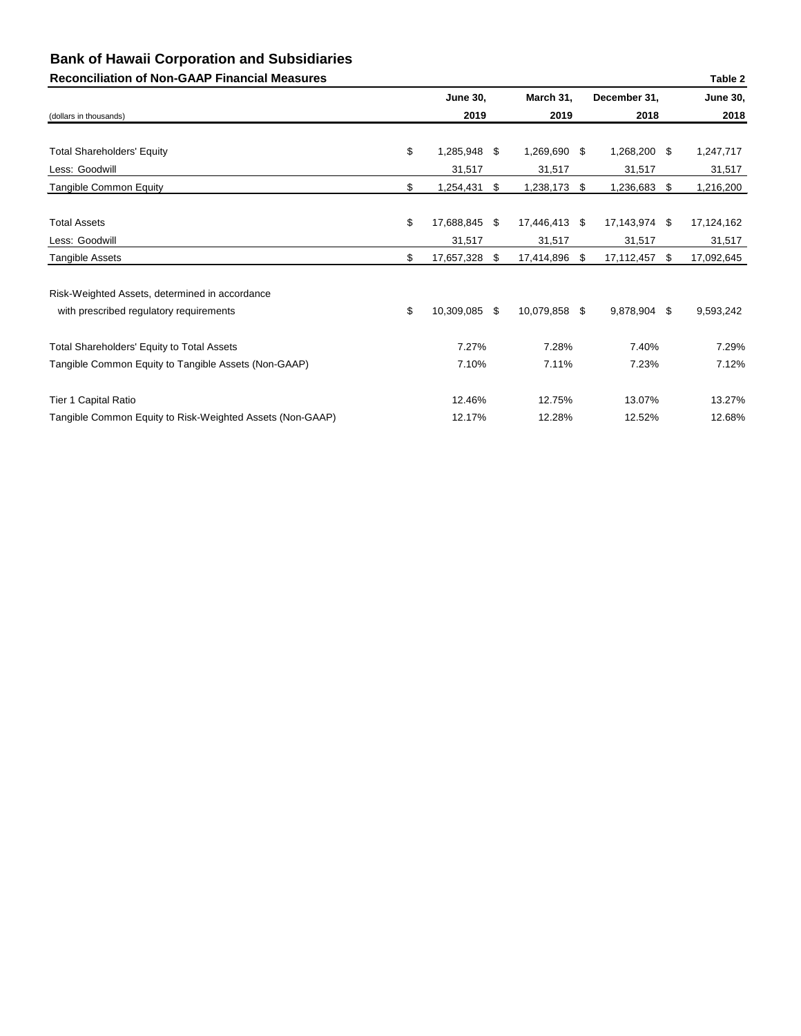## **Reconciliation of Non-GAAP Financial Measures Table 2**

| 000110111011011 01 11011 0771 1 1110110101 11100001100    |                     |                  |      |               | <b>TUDIC</b>     |
|-----------------------------------------------------------|---------------------|------------------|------|---------------|------------------|
|                                                           | <b>June 30,</b>     | March 31,        |      | December 31,  | <b>June 30,</b>  |
| (dollars in thousands)                                    | 2019                | 2019             |      | 2018          | 2018             |
|                                                           |                     |                  |      |               |                  |
| <b>Total Shareholders' Equity</b>                         | \$<br>1,285,948     | \$<br>1,269,690  | \$   | 1,268,200 \$  | 1,247,717        |
| Less: Goodwill                                            | 31,517              | 31,517           |      | 31,517        | 31,517           |
| <b>Tangible Common Equity</b>                             | \$<br>1,254,431     | \$<br>1,238,173  | \$   | 1,236,683     | \$<br>1,216,200  |
| <b>Total Assets</b>                                       | \$<br>17,688,845 \$ | 17,446,413       | - \$ | 17,143,974 \$ | 17, 124, 162     |
| Less: Goodwill                                            | 31,517              | 31,517           |      | 31,517        | 31,517           |
| <b>Tangible Assets</b>                                    | \$<br>17,657,328    | \$<br>17,414,896 | \$   | 17,112,457    | \$<br>17,092,645 |
| Risk-Weighted Assets, determined in accordance            |                     |                  |      |               |                  |
| with prescribed regulatory requirements                   | \$<br>10,309,085 \$ | 10,079,858       | \$   | 9,878,904     | \$<br>9,593,242  |
| <b>Total Shareholders' Equity to Total Assets</b>         | 7.27%               | 7.28%            |      | 7.40%         | 7.29%            |
| Tangible Common Equity to Tangible Assets (Non-GAAP)      | 7.10%               | 7.11%            |      | 7.23%         | 7.12%            |
| Tier 1 Capital Ratio                                      | 12.46%              | 12.75%           |      | 13.07%        | 13.27%           |
| Tangible Common Equity to Risk-Weighted Assets (Non-GAAP) | 12.17%              | 12.28%           |      | 12.52%        | 12.68%           |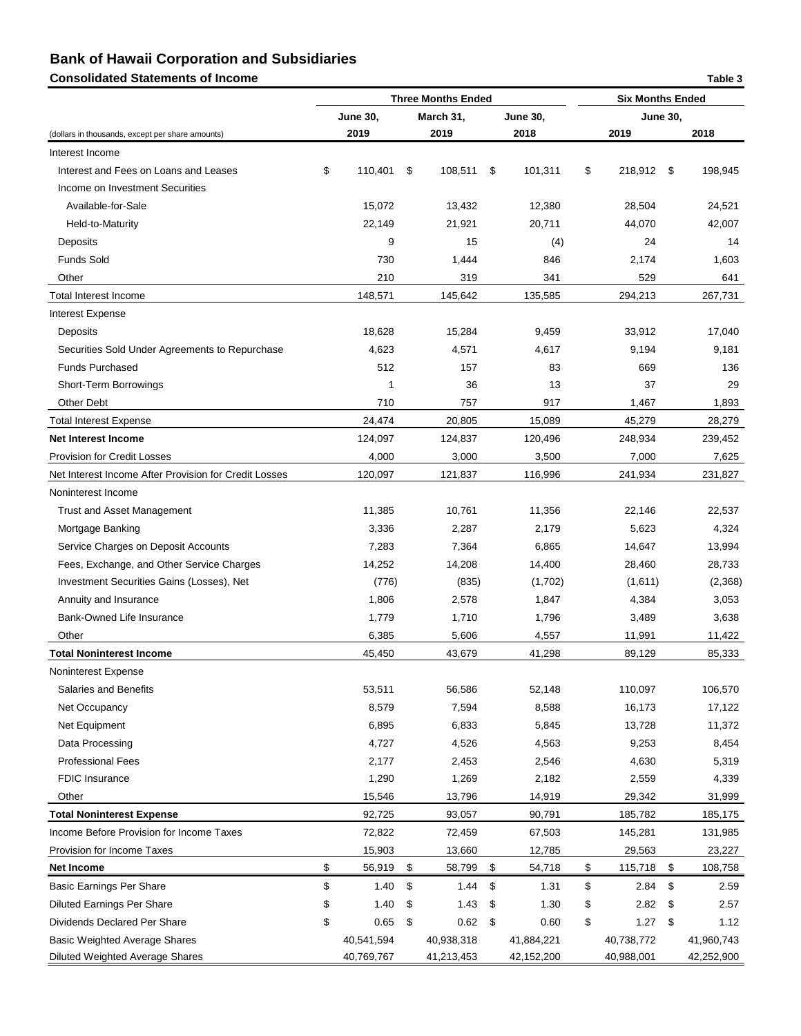## **Consolidated Statements of Income Table 3** and the statements of Income Table 3

|                                                       |                 |      | <b>Three Months Ended</b> |    |                 |                | <b>Six Months Ended</b> |      |            |
|-------------------------------------------------------|-----------------|------|---------------------------|----|-----------------|----------------|-------------------------|------|------------|
|                                                       | <b>June 30,</b> |      | March 31,                 |    | <b>June 30,</b> |                | <b>June 30,</b>         |      |            |
| (dollars in thousands, except per share amounts)      | 2019            |      | 2019                      |    | 2018            |                | 2019                    |      | 2018       |
| Interest Income                                       |                 |      |                           |    |                 |                |                         |      |            |
| Interest and Fees on Loans and Leases                 | \$<br>110,401   | \$   | 108,511                   | \$ | 101,311         | $\mathfrak{S}$ | 218,912                 | \$   | 198,945    |
| Income on Investment Securities                       |                 |      |                           |    |                 |                |                         |      |            |
| Available-for-Sale                                    | 15,072          |      | 13,432                    |    | 12,380          |                | 28,504                  |      | 24,521     |
| Held-to-Maturity                                      | 22,149          |      | 21,921                    |    | 20,711          |                | 44,070                  |      | 42,007     |
| Deposits                                              | 9               |      | 15                        |    | (4)             |                | 24                      |      | 14         |
| <b>Funds Sold</b>                                     | 730             |      | 1,444                     |    | 846             |                | 2,174                   |      | 1,603      |
| Other                                                 | 210             |      | 319                       |    | 341             |                | 529                     |      | 641        |
| <b>Total Interest Income</b>                          | 148,571         |      | 145,642                   |    | 135,585         |                | 294,213                 |      | 267,731    |
| Interest Expense                                      |                 |      |                           |    |                 |                |                         |      |            |
| Deposits                                              | 18,628          |      | 15,284                    |    | 9,459           |                | 33,912                  |      | 17,040     |
| Securities Sold Under Agreements to Repurchase        | 4,623           |      | 4,571                     |    | 4,617           |                | 9,194                   |      | 9,181      |
| <b>Funds Purchased</b>                                | 512             |      | 157                       |    | 83              |                | 669                     |      | 136        |
| Short-Term Borrowings                                 | 1               |      | 36                        |    | 13              |                | 37                      |      | 29         |
| <b>Other Debt</b>                                     | 710             |      | 757                       |    | 917             |                | 1,467                   |      | 1,893      |
| <b>Total Interest Expense</b>                         | 24,474          |      | 20,805                    |    | 15,089          |                | 45,279                  |      | 28,279     |
|                                                       |                 |      |                           |    |                 |                |                         |      |            |
| <b>Net Interest Income</b>                            | 124,097         |      | 124,837                   |    | 120,496         |                | 248,934                 |      | 239,452    |
| <b>Provision for Credit Losses</b>                    | 4,000           |      | 3,000                     |    | 3,500           |                | 7,000                   |      | 7,625      |
| Net Interest Income After Provision for Credit Losses | 120,097         |      | 121,837                   |    | 116,996         |                | 241,934                 |      | 231,827    |
| Noninterest Income                                    |                 |      |                           |    |                 |                |                         |      |            |
| <b>Trust and Asset Management</b>                     | 11,385          |      | 10,761                    |    | 11,356          |                | 22,146                  |      | 22,537     |
| Mortgage Banking                                      | 3,336           |      | 2,287                     |    | 2,179           |                | 5,623                   |      | 4,324      |
| Service Charges on Deposit Accounts                   | 7,283           |      | 7,364                     |    | 6,865           |                | 14,647                  |      | 13,994     |
| Fees, Exchange, and Other Service Charges             | 14,252          |      | 14,208                    |    | 14,400          |                | 28,460                  |      | 28,733     |
| Investment Securities Gains (Losses), Net             | (776)           |      | (835)                     |    | (1,702)         |                | (1,611)                 |      | (2,368)    |
| Annuity and Insurance                                 | 1,806           |      | 2,578                     |    | 1,847           |                | 4,384                   |      | 3,053      |
| Bank-Owned Life Insurance                             | 1,779           |      | 1,710                     |    | 1,796           |                | 3,489                   |      | 3,638      |
| Other                                                 | 6,385           |      | 5,606                     |    | 4,557           |                | 11,991                  |      | 11,422     |
| <b>Total Noninterest Income</b>                       | 45,450          |      | 43,679                    |    | 41,298          |                | 89,129                  |      | 85,333     |
| Noninterest Expense                                   |                 |      |                           |    |                 |                |                         |      |            |
| Salaries and Benefits                                 | 53,511          |      | 56,586                    |    | 52,148          |                | 110,097                 |      | 106,570    |
| Net Occupancy                                         | 8,579           |      | 7,594                     |    | 8,588           |                | 16,173                  |      | 17,122     |
| Net Equipment                                         | 6,895           |      | 6,833                     |    | 5,845           |                | 13,728                  |      | 11,372     |
| Data Processing                                       | 4,727           |      | 4,526                     |    | 4,563           |                | 9,253                   |      | 8,454      |
| <b>Professional Fees</b>                              | 2,177           |      | 2,453                     |    | 2,546           |                | 4,630                   |      | 5,319      |
| <b>FDIC Insurance</b>                                 | 1,290           |      | 1,269                     |    | 2,182           |                | 2,559                   |      | 4,339      |
| Other                                                 | 15,546          |      | 13,796                    |    | 14,919          |                | 29,342                  |      | 31,999     |
| <b>Total Noninterest Expense</b>                      | 92,725          |      | 93,057                    |    | 90,791          |                | 185,782                 |      | 185,175    |
| Income Before Provision for Income Taxes              | 72,822          |      | 72,459                    |    | 67,503          |                | 145,281                 |      | 131,985    |
| Provision for Income Taxes                            | 15,903          |      | 13,660                    |    | 12,785          |                | 29,563                  |      | 23,227     |
| <b>Net Income</b>                                     | \$<br>56,919    | - \$ | 58,799                    | \$ | 54,718          | \$             | 115,718                 | - \$ | 108,758    |
| <b>Basic Earnings Per Share</b>                       | \$<br>1.40      | -\$  | 1.44                      | S. | 1.31            | \$             | 2.84                    | \$   | 2.59       |
| <b>Diluted Earnings Per Share</b>                     | \$<br>1.40      | -\$  | 1.43                      | \$ | 1.30            | \$             | 2.82                    | -\$  | 2.57       |
| Dividends Declared Per Share                          | \$<br>0.65      | \$   | 0.62                      | \$ | 0.60            | \$             | $1.27$ \$               |      | 1.12       |
| <b>Basic Weighted Average Shares</b>                  | 40,541,594      |      | 40,938,318                |    | 41,884,221      |                | 40,738,772              |      | 41,960,743 |
| <b>Diluted Weighted Average Shares</b>                | 40,769,767      |      | 41,213,453                |    | 42,152,200      |                | 40,988,001              |      | 42,252,900 |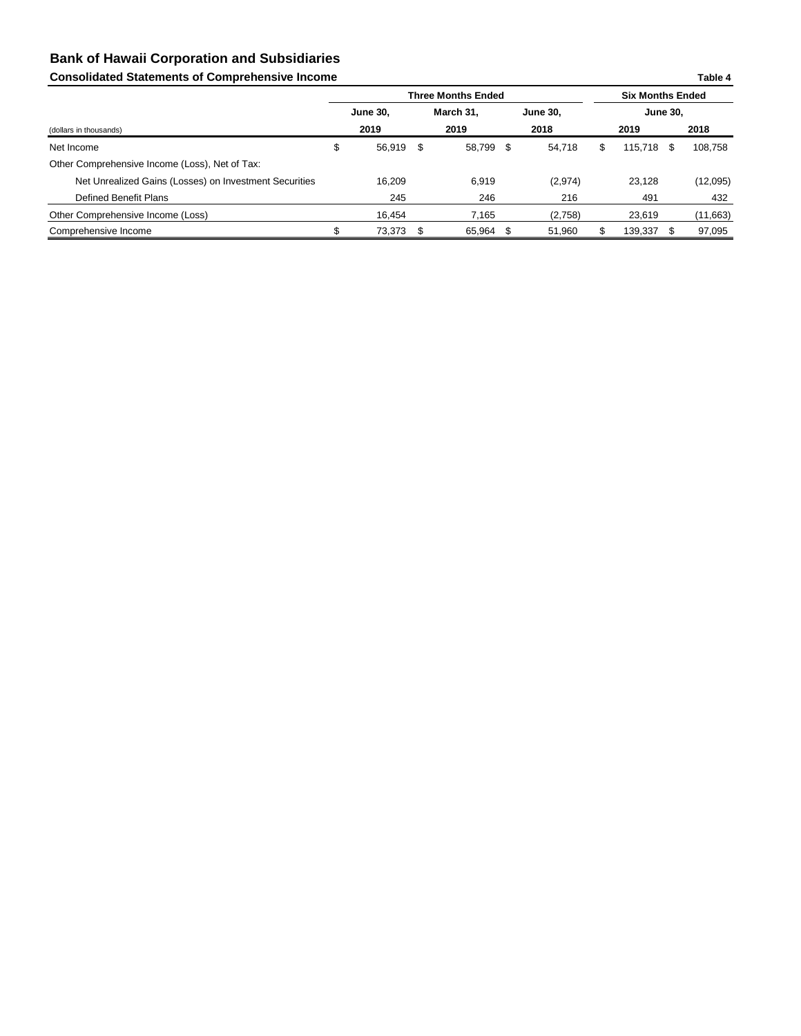# **Consolidated Statements of Comprehensive Income**

|                                                        |                 |      | <b>Three Months Ended</b> |     | <b>Six Months Ended</b> |   |                 |     |           |
|--------------------------------------------------------|-----------------|------|---------------------------|-----|-------------------------|---|-----------------|-----|-----------|
|                                                        | <b>June 30,</b> |      | March 31,                 |     | <b>June 30,</b>         |   | <b>June 30,</b> |     |           |
| (dollars in thousands)                                 | 2019            |      | 2019                      |     | 2018                    |   | 2019            |     | 2018      |
| Net Income                                             | \$<br>56,919    | - \$ | 58,799                    | \$  | 54,718                  | S | 115,718         | -SS | 108,758   |
| Other Comprehensive Income (Loss), Net of Tax:         |                 |      |                           |     |                         |   |                 |     |           |
| Net Unrealized Gains (Losses) on Investment Securities | 16,209          |      | 6,919                     |     | (2,974)                 |   | 23,128          |     | (12,095)  |
| Defined Benefit Plans                                  | 245             |      | 246                       |     | 216                     |   | 491             |     | 432       |
| Other Comprehensive Income (Loss)                      | 16,454          |      | 7,165                     |     | (2,758)                 |   | 23,619          |     | (11, 663) |
| Comprehensive Income                                   | 73,373          |      | 65,964                    | \$. | 51,960                  |   | 139,337         |     | 97,095    |

**Table 4**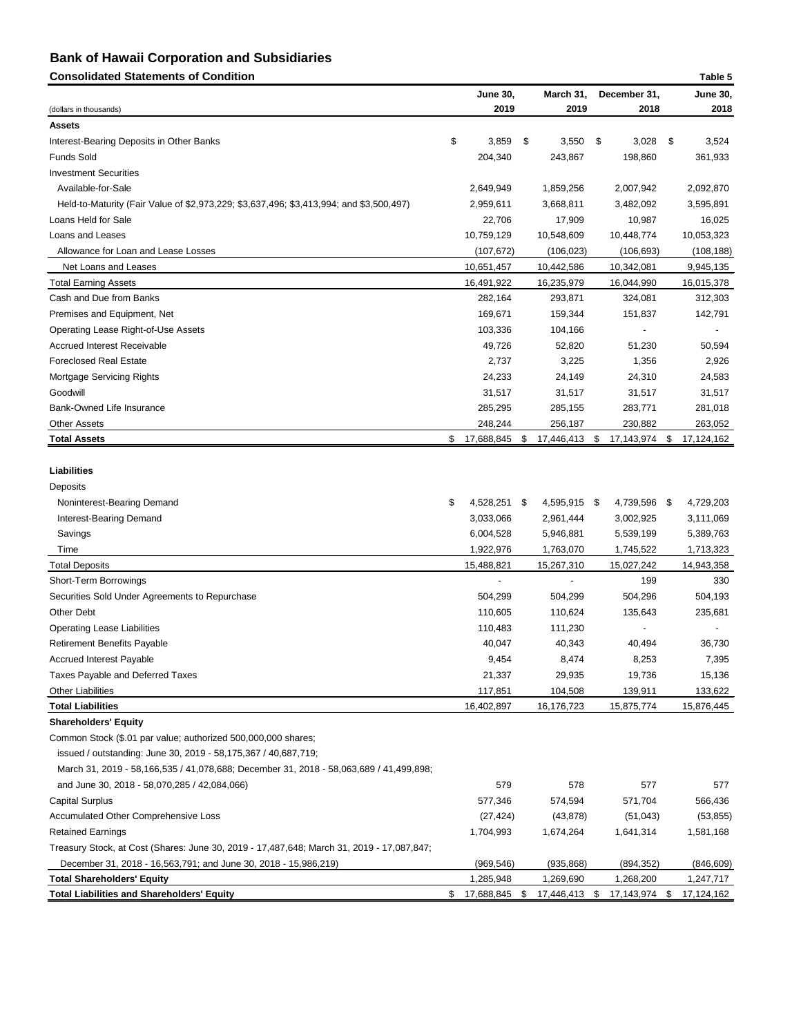# **Consolidated Statements of Condition Table 5**

| Consolidated Statements of Condition                                                                                                                         |                                                           |                                                     |                                                  | <b>Laple 5</b>                                           |
|--------------------------------------------------------------------------------------------------------------------------------------------------------------|-----------------------------------------------------------|-----------------------------------------------------|--------------------------------------------------|----------------------------------------------------------|
| (dollars in thousands)                                                                                                                                       | <b>June 30,</b><br>2019                                   | March 31,<br>2019                                   | December 31,<br>2018                             | <b>June 30,</b><br>2018                                  |
| <b>Assets</b>                                                                                                                                                |                                                           |                                                     |                                                  |                                                          |
| Interest-Bearing Deposits in Other Banks                                                                                                                     | \$<br>3,859                                               | 3,550<br>\$                                         | \$<br>3,028                                      | \$<br>3,524                                              |
| <b>Funds Sold</b>                                                                                                                                            | 204,340                                                   | 243,867                                             | 198,860                                          | 361,933                                                  |
| <b>Investment Securities</b>                                                                                                                                 |                                                           |                                                     |                                                  |                                                          |
| Available-for-Sale                                                                                                                                           | 2,649,949                                                 | 1,859,256                                           | 2,007,942                                        | 2,092,870                                                |
| Held-to-Maturity (Fair Value of \$2,973,229; \$3,637,496; \$3,413,994; and \$3,500,497)                                                                      | 2,959,611                                                 | 3,668,811                                           | 3,482,092                                        | 3,595,891                                                |
| Loans Held for Sale                                                                                                                                          | 22,706                                                    | 17,909                                              | 10,987                                           | 16,025                                                   |
| Loans and Leases                                                                                                                                             | 10,759,129                                                | 10,548,609                                          | 10,448,774                                       | 10,053,323                                               |
| Allowance for Loan and Lease Losses                                                                                                                          | (107, 672)                                                | (106, 023)                                          | (106, 693)                                       | (108, 188)                                               |
| Net Loans and Leases                                                                                                                                         | 10,651,457                                                | 10,442,586                                          | 10,342,081                                       | 9,945,135                                                |
| <b>Total Earning Assets</b>                                                                                                                                  | 16,491,922                                                | 16,235,979                                          | 16,044,990                                       | 16,015,378                                               |
| Cash and Due from Banks                                                                                                                                      | 282,164                                                   | 293,871                                             | 324,081                                          | 312,303                                                  |
| Premises and Equipment, Net                                                                                                                                  | 169,671                                                   | 159,344                                             | 151,837                                          | 142,791                                                  |
| <b>Operating Lease Right-of-Use Assets</b>                                                                                                                   | 103,336                                                   | 104,166                                             |                                                  |                                                          |
| <b>Accrued Interest Receivable</b>                                                                                                                           | 49,726                                                    | 52,820                                              | 51,230                                           | 50,594                                                   |
| <b>Foreclosed Real Estate</b>                                                                                                                                | 2,737                                                     | 3,225                                               | 1,356                                            | 2,926                                                    |
| <b>Mortgage Servicing Rights</b>                                                                                                                             | 24,233                                                    | 24,149                                              | 24,310                                           | 24,583                                                   |
| Goodwill                                                                                                                                                     | 31,517                                                    | 31,517                                              | 31,517                                           | 31,517                                                   |
| Bank-Owned Life Insurance                                                                                                                                    | 285,295                                                   | 285,155                                             | 283,771                                          | 281,018                                                  |
| <b>Other Assets</b>                                                                                                                                          | 248,244                                                   | 256,187                                             | 230,882                                          | 263,052                                                  |
| <b>Total Assets</b>                                                                                                                                          | \$<br>17,688,845                                          | 17,446,413 \$<br>- \$                               | 17,143,974                                       | 17,124,162<br>- \$                                       |
| <b>Liabilities</b><br>Deposits<br>Noninterest-Bearing Demand<br>Interest-Bearing Demand<br>Savings<br>Time                                                   | \$<br>4,528,251 \$<br>3,033,066<br>6,004,528<br>1,922,976 | 4,595,915 \$<br>2,961,444<br>5,946,881<br>1,763,070 | 4,739,596<br>3,002,925<br>5,539,199<br>1,745,522 | - \$<br>4,729,203<br>3,111,069<br>5,389,763<br>1,713,323 |
| <b>Total Deposits</b>                                                                                                                                        | 15,488,821                                                | 15,267,310                                          | 15,027,242                                       | 14,943,358                                               |
| Short-Term Borrowings                                                                                                                                        |                                                           |                                                     | 199                                              | 330                                                      |
| Securities Sold Under Agreements to Repurchase                                                                                                               | 504,299                                                   | 504,299                                             | 504,296                                          | 504,193                                                  |
| Other Debt                                                                                                                                                   | 110,605                                                   | 110,624                                             | 135,643                                          | 235,681                                                  |
| <b>Operating Lease Liabilities</b>                                                                                                                           | 110,483                                                   | 111,230                                             |                                                  |                                                          |
| <b>Retirement Benefits Payable</b>                                                                                                                           | 40,047                                                    | 40,343                                              | 40,494                                           | 36,730                                                   |
| <b>Accrued Interest Payable</b>                                                                                                                              | 9,454                                                     | 8,474                                               | 8,253                                            | 7,395                                                    |
| Taxes Payable and Deferred Taxes                                                                                                                             | 21,337                                                    | 29,935                                              | 19,736                                           | 15,136                                                   |
| <b>Other Liabilities</b>                                                                                                                                     | 117,851                                                   | 104,508                                             | 139,911                                          | 133,622                                                  |
| <b>Total Liabilities</b>                                                                                                                                     | 16,402,897                                                | 16,176,723                                          | 15,875,774                                       | 15,876,445                                               |
| <b>Shareholders' Equity</b>                                                                                                                                  |                                                           |                                                     |                                                  |                                                          |
| Common Stock (\$.01 par value; authorized 500,000,000 shares;                                                                                                |                                                           |                                                     |                                                  |                                                          |
| issued / outstanding: June 30, 2019 - 58, 175, 367 / 40, 687, 719;                                                                                           |                                                           |                                                     |                                                  |                                                          |
| March 31, 2019 - 58,166,535 / 41,078,688; December 31, 2018 - 58,063,689 / 41,499,898;                                                                       |                                                           |                                                     |                                                  |                                                          |
| and June 30, 2018 - 58,070,285 / 42,084,066)                                                                                                                 | 579                                                       | 578                                                 | 577                                              | 577                                                      |
| <b>Capital Surplus</b>                                                                                                                                       | 577,346                                                   | 574,594                                             | 571,704                                          | 566,436                                                  |
| Accumulated Other Comprehensive Loss                                                                                                                         | (27, 424)                                                 | (43, 878)                                           | (51, 043)                                        | (53, 855)                                                |
| <b>Retained Earnings</b>                                                                                                                                     | 1,704,993                                                 | 1,674,264                                           | 1,641,314                                        | 1,581,168                                                |
| Treasury Stock, at Cost (Shares: June 30, 2019 - 17,487,648; March 31, 2019 - 17,087,847;<br>December 31, 2018 - 16,563,791; and June 30, 2018 - 15,986,219) | (969, 546)                                                | (935, 868)                                          | (894, 352)                                       | (846, 609)                                               |
| <b>Total Shareholders' Equity</b>                                                                                                                            | 1,285,948                                                 | 1,269,690                                           | 1,268,200                                        | 1,247,717                                                |
| <b>Total Liabilities and Shareholders' Equity</b>                                                                                                            | 17,688,845 \$<br>\$                                       | 17,446,413 \$                                       | 17,143,974 \$                                    | 17,124,162                                               |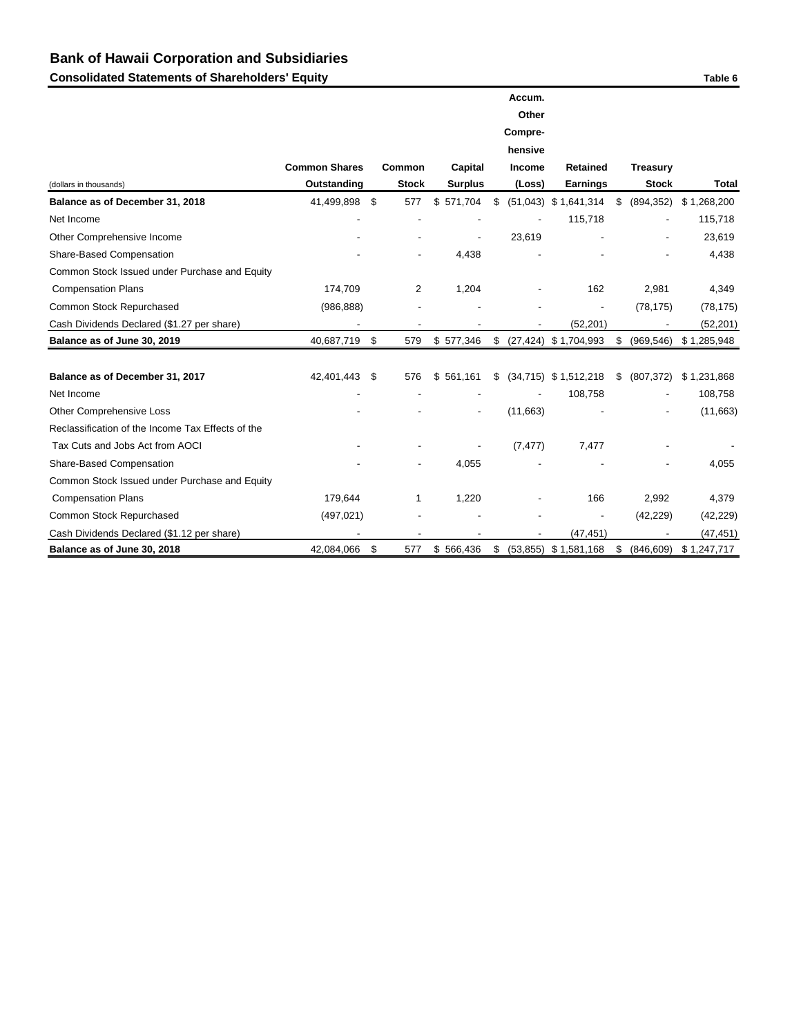**Consolidated Statements of Shareholders' Equity Consolidated Statements of Shareholders' Equity** Table 6

|                                                   |                      |                |                |                | Accum.   |                          |                  |              |
|---------------------------------------------------|----------------------|----------------|----------------|----------------|----------|--------------------------|------------------|--------------|
|                                                   |                      |                |                |                | Other    |                          |                  |              |
|                                                   |                      |                |                |                | Compre-  |                          |                  |              |
|                                                   |                      |                |                |                | hensive  |                          |                  |              |
|                                                   | <b>Common Shares</b> | <b>Common</b>  | <b>Capital</b> |                | Income   | <b>Retained</b>          | <b>Treasury</b>  |              |
| (dollars in thousands)                            | Outstanding          | <b>Stock</b>   | <b>Surplus</b> |                | (Loss)   | <b>Earnings</b>          | <b>Stock</b>     | <b>Total</b> |
| Balance as of December 31, 2018                   | 41,499,898           | \$<br>577      | \$<br>571,704  | \$             |          | $(51,043)$ \$ 1,641,314  | \$<br>(894, 352) | \$1,268,200  |
| Net Income                                        |                      |                |                |                |          | 115,718                  |                  | 115,718      |
| Other Comprehensive Income                        |                      |                |                |                | 23,619   |                          |                  | 23,619       |
| Share-Based Compensation                          |                      |                | 4,438          |                |          |                          |                  | 4,438        |
| Common Stock Issued under Purchase and Equity     |                      |                |                |                |          |                          |                  |              |
| <b>Compensation Plans</b>                         | 174,709              | $\overline{c}$ | 1,204          |                |          | 162                      | 2,981            | 4,349        |
| Common Stock Repurchased                          | (986, 888)           |                |                |                |          |                          | (78, 175)        | (78, 175)    |
| Cash Dividends Declared (\$1.27 per share)        |                      |                |                |                |          | (52, 201)                |                  | (52, 201)    |
| Balance as of June 30, 2019                       | 40,687,719           | \$<br>579      | \$577,346      | $\mathfrak{S}$ |          | $(27, 424)$ \$ 1,704,993 | \$<br>(969, 546) | \$1,285,948  |
|                                                   |                      |                |                |                |          |                          |                  |              |
| Balance as of December 31, 2017                   | 42,401,443           | \$<br>576      | \$<br>561,161  | \$             |          | $(34,715)$ \$ 1,512,218  | \$<br>(807, 372) | \$1,231,868  |
| Net Income                                        |                      |                |                |                |          | 108,758                  |                  | 108,758      |
| <b>Other Comprehensive Loss</b>                   |                      |                |                |                | (11,663) |                          |                  | (11,663)     |
| Reclassification of the Income Tax Effects of the |                      |                |                |                |          |                          |                  |              |
| Tax Cuts and Jobs Act from AOCI                   |                      |                |                |                | (7, 477) | 7,477                    |                  |              |
| Share-Based Compensation                          |                      |                | 4,055          |                |          |                          |                  | 4,055        |
| Common Stock Issued under Purchase and Equity     |                      |                |                |                |          |                          |                  |              |
| <b>Compensation Plans</b>                         | 179,644              | 1              | 1,220          |                |          | 166                      | 2,992            | 4,379        |
| Common Stock Repurchased                          | (497, 021)           |                |                |                |          |                          | (42, 229)        | (42, 229)    |
| Cash Dividends Declared (\$1.12 per share)        |                      |                |                |                |          | (47, 451)                |                  | (47, 451)    |
| Balance as of June 30, 2018                       | 42,084,066           | \$<br>577      | \$566,436      | $\mathfrak{S}$ |          | $(53,855)$ \$ 1,581,168  | \$<br>(846, 609) | \$1,247,717  |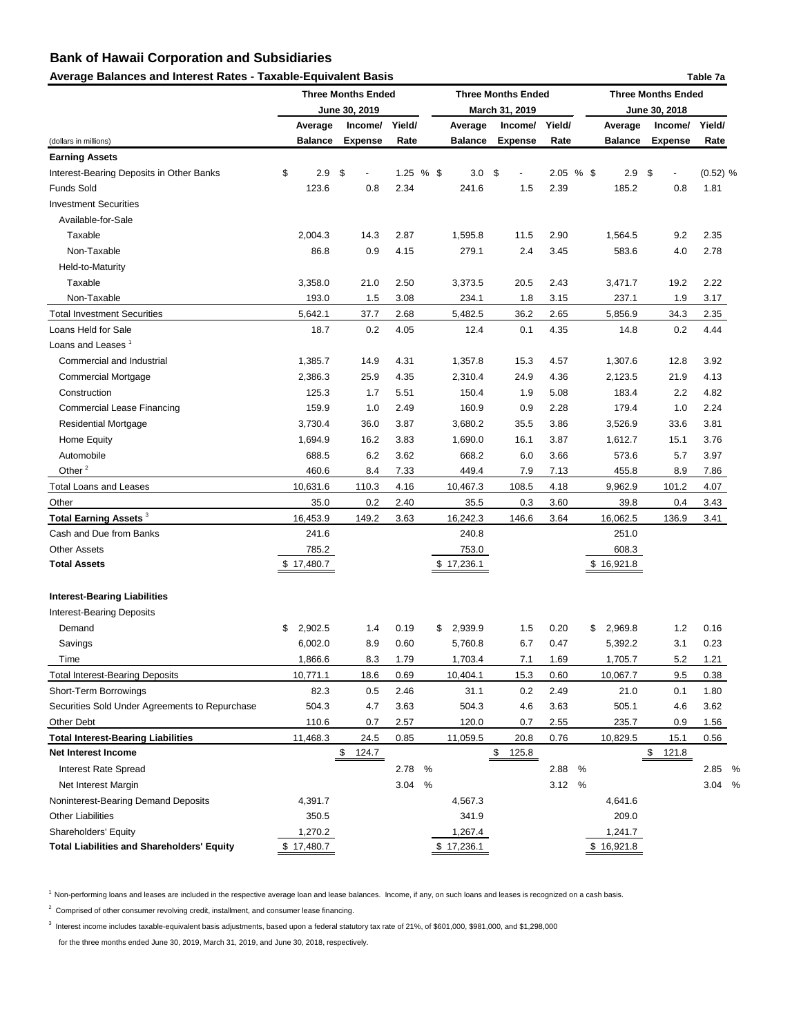#### Average Balances and Interest Rates - Taxable-Equivalent Basis **Table 7a** and the Table 7a

|                                                   |                | <b>Three Months Ended</b><br>June 30, 2019 |        |      |                   | <b>Three Months Ended</b><br>March 31, 2019 |        |       | <b>Three Months Ended</b><br>June 30, 2018 |                |            |  |  |
|---------------------------------------------------|----------------|--------------------------------------------|--------|------|-------------------|---------------------------------------------|--------|-------|--------------------------------------------|----------------|------------|--|--|
|                                                   | Average        | Income/                                    | Yield/ |      | Average           | Income/                                     | Yield/ |       | Average                                    | Income/        | Yield/     |  |  |
| (dollars in millions)                             | <b>Balance</b> | <b>Expense</b>                             | Rate   |      | <b>Balance</b>    | <b>Expense</b>                              | Rate   |       | <b>Balance</b>                             | <b>Expense</b> | Rate       |  |  |
| <b>Earning Assets</b>                             |                |                                            |        |      |                   |                                             |        |       |                                            |                |            |  |  |
| Interest-Bearing Deposits in Other Banks          | \$<br>2.9      | \$<br>$\overline{\phantom{a}}$             | 1.25%  |      | $3.0 \, \text{S}$ | $\overline{\phantom{0}}$                    |        | 2.05% | 2.9                                        | $\mathcal{S}$  | $(0.52)$ % |  |  |
| <b>Funds Sold</b>                                 | 123.6          | 0.8                                        | 2.34   |      | 241.6             | 1.5                                         | 2.39   |       | 185.2                                      | 0.8            | 1.81       |  |  |
| <b>Investment Securities</b>                      |                |                                            |        |      |                   |                                             |        |       |                                            |                |            |  |  |
| Available-for-Sale                                |                |                                            |        |      |                   |                                             |        |       |                                            |                |            |  |  |
| Taxable                                           | 2,004.3        | 14.3                                       | 2.87   |      | 1,595.8           | 11.5                                        | 2.90   |       | 1,564.5                                    | 9.2            | 2.35       |  |  |
| Non-Taxable                                       | 86.8           | 0.9                                        | 4.15   |      | 279.1             | 2.4                                         | 3.45   |       | 583.6                                      | 4.0            | 2.78       |  |  |
| Held-to-Maturity                                  |                |                                            |        |      |                   |                                             |        |       |                                            |                |            |  |  |
| Taxable                                           | 3,358.0        | 21.0                                       | 2.50   |      | 3,373.5           | 20.5                                        | 2.43   |       | 3,471.7                                    | 19.2           | 2.22       |  |  |
| Non-Taxable                                       | 193.0          | 1.5                                        | 3.08   |      | 234.1             | 1.8                                         | 3.15   |       | 237.1                                      | 1.9            | 3.17       |  |  |
| <b>Total Investment Securities</b>                | 5,642.1        | 37.7                                       | 2.68   |      | 5,482.5           | 36.2                                        | 2.65   |       | 5,856.9                                    | 34.3           | 2.35       |  |  |
| Loans Held for Sale                               | 18.7           | 0.2                                        | 4.05   |      | 12.4              | 0.1                                         | 4.35   |       | 14.8                                       | 0.2            | 4.44       |  |  |
| Loans and Leases <sup>1</sup>                     |                |                                            |        |      |                   |                                             |        |       |                                            |                |            |  |  |
| Commercial and Industrial                         | 1,385.7        | 14.9                                       | 4.31   |      | 1,357.8           | 15.3                                        | 4.57   |       | 1,307.6                                    | 12.8           | 3.92       |  |  |
| <b>Commercial Mortgage</b>                        | 2,386.3        | 25.9                                       | 4.35   |      | 2,310.4           | 24.9                                        | 4.36   |       | 2,123.5                                    | 21.9           | 4.13       |  |  |
| Construction                                      | 125.3          | 1.7                                        | 5.51   |      | 150.4             | 1.9                                         | 5.08   |       | 183.4                                      | 2.2            | 4.82       |  |  |
| <b>Commercial Lease Financing</b>                 | 159.9          | 1.0                                        | 2.49   |      | 160.9             | 0.9                                         | 2.28   |       | 179.4                                      | 1.0            | 2.24       |  |  |
| <b>Residential Mortgage</b>                       | 3,730.4        | 36.0                                       | 3.87   |      | 3,680.2           | 35.5                                        | 3.86   |       | 3,526.9                                    | 33.6           | 3.81       |  |  |
| Home Equity                                       | 1,694.9        | 16.2                                       | 3.83   |      | 1,690.0           | 16.1                                        | 3.87   |       | 1,612.7                                    | 15.1           | 3.76       |  |  |
| Automobile                                        | 688.5          | 6.2                                        | 3.62   |      | 668.2             | 6.0                                         | 3.66   |       | 573.6                                      | 5.7            | 3.97       |  |  |
| Other <sup>2</sup>                                | 460.6          | 8.4                                        | 7.33   |      | 449.4             | 7.9                                         | 7.13   |       | 455.8                                      | 8.9            | 7.86       |  |  |
| <b>Total Loans and Leases</b>                     | 10,631.6       | 110.3                                      | 4.16   |      | 10,467.3          | 108.5                                       | 4.18   |       | 9,962.9                                    | 101.2          | 4.07       |  |  |
| Other                                             | 35.0           | 0.2                                        | 2.40   |      | 35.5              | 0.3                                         | 3.60   |       | 39.8                                       | 0.4            | 3.43       |  |  |
| Total Earning Assets <sup>3</sup>                 | 16,453.9       | 149.2                                      | 3.63   |      | 16,242.3          | 146.6                                       | 3.64   |       | 16,062.5                                   | 136.9          | 3.41       |  |  |
| Cash and Due from Banks                           | 241.6          |                                            |        |      | 240.8             |                                             |        |       | 251.0                                      |                |            |  |  |
| <b>Other Assets</b>                               | 785.2          |                                            |        |      | 753.0             |                                             |        |       | 608.3                                      |                |            |  |  |
| <b>Total Assets</b>                               | \$17,480.7     |                                            |        |      | \$17,236.1        |                                             |        |       | \$16,921.8                                 |                |            |  |  |
| <b>Interest-Bearing Liabilities</b>               |                |                                            |        |      |                   |                                             |        |       |                                            |                |            |  |  |
| <b>Interest-Bearing Deposits</b>                  |                |                                            |        |      |                   |                                             |        |       |                                            |                |            |  |  |
| Demand                                            | \$<br>2,902.5  | 1.4                                        | 0.19   | \$   | 2,939.9           | 1.5                                         | 0.20   | \$    | 2,969.8                                    | 1.2            | 0.16       |  |  |
| Savings                                           | 6,002.0        | 8.9                                        | 0.60   |      | 5,760.8           | 6.7                                         | 0.47   |       | 5,392.2                                    | 3.1            | 0.23       |  |  |
| Time                                              | 1,866.6        | 8.3                                        | 1.79   |      | 1,703.4           | 7.1                                         | 1.69   |       | 1,705.7                                    | 5.2            | 1.21       |  |  |
| <b>Total Interest-Bearing Deposits</b>            | 10,771.1       | 18.6                                       | 0.69   |      | 10,404.1          | 15.3                                        | 0.60   |       | 10,067.7                                   | 9.5            | 0.38       |  |  |
| <b>Short-Term Borrowings</b>                      | 82.3           | 0.5                                        | 2.46   |      | 31.1              | 0.2                                         | 2.49   |       | 21.0                                       | 0.1            | 1.80       |  |  |
| Securities Sold Under Agreements to Repurchase    | 504.3          | 4.7                                        | 3.63   |      | 504.3             | 4.6                                         | 3.63   |       | 505.1                                      | 4.6            | 3.62       |  |  |
| Other Debt                                        | 110.6          | 0.7                                        | 2.57   |      | 120.0             | 0.7                                         | 2.55   |       | 235.7                                      | 0.9            | 1.56       |  |  |
| <b>Total Interest-Bearing Liabilities</b>         | 11,468.3       | 24.5                                       | 0.85   |      | 11,059.5          | 20.8                                        | 0.76   |       | 10,829.5                                   | 15.1           | 0.56       |  |  |
| <b>Net Interest Income</b>                        |                | 124.7<br>\$                                |        |      |                   | \$<br>125.8                                 |        |       |                                            | \$<br>121.8    |            |  |  |
| <b>Interest Rate Spread</b>                       |                |                                            | 2.78   | %    |                   |                                             | 2.88   | $\%$  |                                            |                | 2.85       |  |  |
| Net Interest Margin                               |                |                                            | 3.04   | $\%$ |                   |                                             | 3.12   | %     |                                            |                | 3.04       |  |  |
| Noninterest-Bearing Demand Deposits               | 4,391.7        |                                            |        |      | 4,567.3           |                                             |        |       | 4,641.6                                    |                |            |  |  |
| <b>Other Liabilities</b>                          | 350.5          |                                            |        |      | 341.9             |                                             |        |       | 209.0                                      |                |            |  |  |
| Shareholders' Equity                              | 1,270.2        |                                            |        |      | 1,267.4           |                                             |        |       | 1,241.7                                    |                |            |  |  |
| <b>Total Liabilities and Shareholders' Equity</b> | \$17,480.7     |                                            |        |      | \$17,236.1        |                                             |        |       | \$16,921.8                                 |                |            |  |  |

<sup>1</sup> Non-performing loans and leases are included in the respective average loan and lease balances. Income, if any, on such loans and leases is recognized on a cash basis.

 $2$  Comprised of other consumer revolving credit, installment, and consumer lease financing.

 $^3$  Interest income includes taxable-equivalent basis adjustments, based upon a federal statutory tax rate of 21%, of \$601,000, \$981,000, and \$1,298,000

for the three months ended June 30, 2019, March 31, 2019, and June 30, 2018, respectively.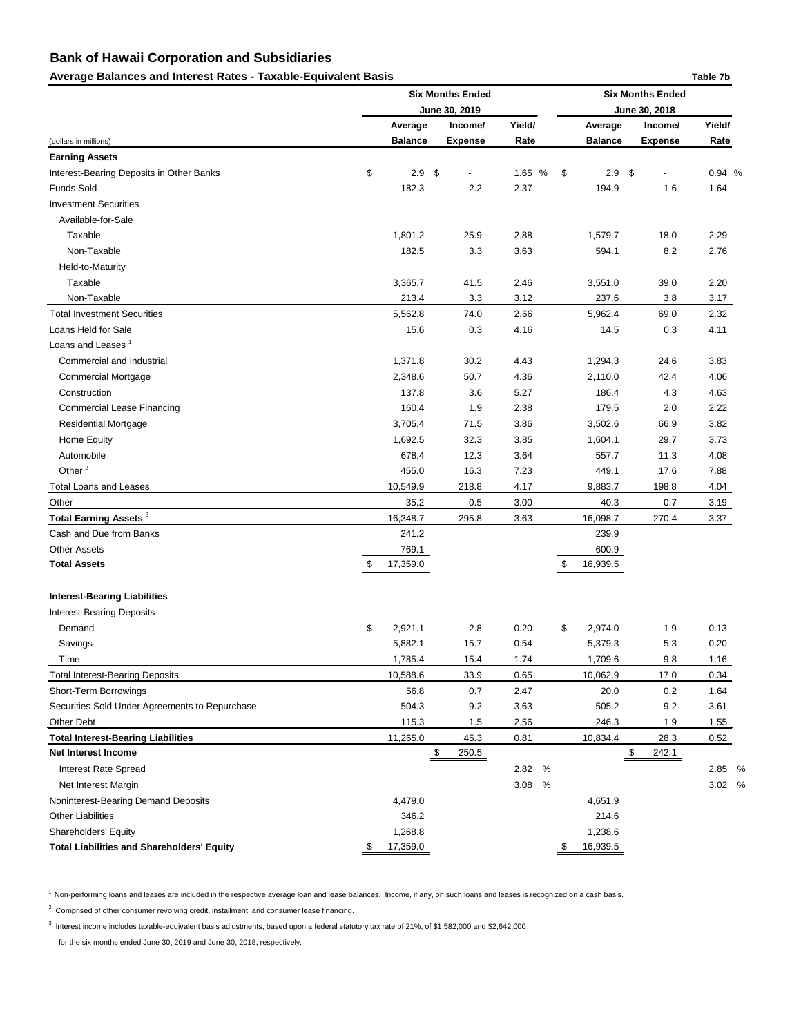## Average Balances and Interest Rates - Taxable-Equivalent Basis **Table 7b Table 7b** Table 7b

|                                                   |    | <b>Six Months Ended</b> |                     |           |    | <b>Six Months Ended</b> |                          |        |  |  |  |
|---------------------------------------------------|----|-------------------------|---------------------|-----------|----|-------------------------|--------------------------|--------|--|--|--|
|                                                   |    |                         | June 30, 2019       |           |    | June 30, 2018           |                          |        |  |  |  |
|                                                   |    | Average                 | Income/             | Yield/    |    | Average                 | Income/                  | Yield/ |  |  |  |
| (dollars in millions)                             |    | <b>Balance</b>          | <b>Expense</b>      | Rate      |    | <b>Balance</b>          | <b>Expense</b>           | Rate   |  |  |  |
| <b>Earning Assets</b>                             |    |                         |                     |           |    |                         |                          |        |  |  |  |
| Interest-Bearing Deposits in Other Banks          | \$ | 2.9<br>$\sqrt{3}$       | $\blacksquare$      | 1.65 %    | \$ | $2.9$ \$                | $\overline{\phantom{0}}$ | 0.94 % |  |  |  |
| <b>Funds Sold</b>                                 |    | 182.3                   | 2.2                 | 2.37      |    | 194.9                   | 1.6                      | 1.64   |  |  |  |
| <b>Investment Securities</b>                      |    |                         |                     |           |    |                         |                          |        |  |  |  |
| Available-for-Sale                                |    |                         |                     |           |    |                         |                          |        |  |  |  |
| Taxable                                           |    | 1,801.2                 | 25.9                | 2.88      |    | 1,579.7                 | 18.0                     | 2.29   |  |  |  |
| Non-Taxable                                       |    | 182.5                   | 3.3                 | 3.63      |    | 594.1                   | 8.2                      | 2.76   |  |  |  |
| Held-to-Maturity                                  |    |                         |                     |           |    |                         |                          |        |  |  |  |
| Taxable                                           |    | 3,365.7                 | 41.5                | 2.46      |    | 3,551.0                 | 39.0                     | 2.20   |  |  |  |
| Non-Taxable                                       |    | 213.4                   | 3.3                 | 3.12      |    | 237.6                   | 3.8                      | 3.17   |  |  |  |
| <b>Total Investment Securities</b>                |    | 5,562.8                 | 74.0                | 2.66      |    | 5,962.4                 | 69.0                     | 2.32   |  |  |  |
| Loans Held for Sale                               |    | 15.6                    | 0.3                 | 4.16      |    | 14.5                    | 0.3                      | 4.11   |  |  |  |
| Loans and Leases <sup>1</sup>                     |    |                         |                     |           |    |                         |                          |        |  |  |  |
| Commercial and Industrial                         |    | 1,371.8                 | 30.2                | 4.43      |    | 1,294.3                 | 24.6                     | 3.83   |  |  |  |
| <b>Commercial Mortgage</b>                        |    | 2,348.6                 | 50.7                | 4.36      |    | 2,110.0                 | 42.4                     | 4.06   |  |  |  |
| Construction                                      |    | 137.8                   | 3.6                 | 5.27      |    | 186.4                   | 4.3                      | 4.63   |  |  |  |
| <b>Commercial Lease Financing</b>                 |    | 160.4                   | 1.9                 | 2.38      |    | 179.5                   | 2.0                      | 2.22   |  |  |  |
| <b>Residential Mortgage</b>                       |    | 3,705.4                 | 71.5                | 3.86      |    | 3,502.6                 | 66.9                     | 3.82   |  |  |  |
| Home Equity                                       |    | 1,692.5                 | 32.3                | 3.85      |    | 1,604.1                 | 29.7                     | 3.73   |  |  |  |
| Automobile                                        |    | 678.4                   | 12.3                | 3.64      |    | 557.7                   | 11.3                     | 4.08   |  |  |  |
| Other <sup>2</sup>                                |    | 455.0                   | 16.3                | 7.23      |    | 449.1                   | 17.6                     | 7.88   |  |  |  |
| <b>Total Loans and Leases</b>                     |    | 10,549.9                | 218.8               | 4.17      |    | 9,883.7                 | 198.8                    | 4.04   |  |  |  |
| Other                                             |    | 35.2                    | 0.5                 | 3.00      |    | 40.3                    | 0.7                      | 3.19   |  |  |  |
| Total Earning Assets <sup>3</sup>                 |    | 16,348.7                | 295.8               | 3.63      |    | 16,098.7                | 270.4                    | 3.37   |  |  |  |
| Cash and Due from Banks                           |    | 241.2                   |                     |           |    | 239.9                   |                          |        |  |  |  |
| <b>Other Assets</b>                               |    | 769.1                   |                     |           |    | 600.9                   |                          |        |  |  |  |
| <b>Total Assets</b>                               | \$ | 17,359.0                |                     |           | \$ | 16,939.5                |                          |        |  |  |  |
|                                                   |    |                         |                     |           |    |                         |                          |        |  |  |  |
| <b>Interest-Bearing Liabilities</b>               |    |                         |                     |           |    |                         |                          |        |  |  |  |
| <b>Interest-Bearing Deposits</b>                  |    |                         |                     |           |    |                         |                          |        |  |  |  |
| Demand                                            | \$ | 2,921.1                 | 2.8                 | 0.20      | \$ | 2,974.0                 | 1.9                      | 0.13   |  |  |  |
| Savings                                           |    | 5,882.1                 | 15.7                | 0.54      |    | 5,379.3                 | 5.3                      | 0.20   |  |  |  |
| Time                                              |    | 1,785.4                 | 15.4                | 1.74      |    | 1,709.6                 | 9.8                      | 1.16   |  |  |  |
| <b>Total Interest-Bearing Deposits</b>            |    | 10,588.6                | 33.9                | 0.65      |    | 10,062.9                | 17.0                     | 0.34   |  |  |  |
| Short-Term Borrowings                             |    | 56.8                    | 0.7                 | 2.47      |    | 20.0                    | 0.2                      | 1.64   |  |  |  |
| Securities Sold Under Agreements to Repurchase    |    | 504.3                   | 9.2                 | 3.63      |    | 505.2                   | 9.2                      | 3.61   |  |  |  |
| Other Debt                                        |    | 115.3                   | 1.5                 | 2.56      |    | 246.3                   | 1.9                      | 1.55   |  |  |  |
| <b>Total Interest-Bearing Liabilities</b>         |    | 11,265.0                | 45.3                | 0.81      |    | 10,834.4                | 28.3                     | 0.52   |  |  |  |
| <b>Net Interest Income</b>                        |    | \$                      | $\frac{250.5}{250}$ |           |    |                         | 242.1<br>\$              |        |  |  |  |
| <b>Interest Rate Spread</b>                       |    |                         |                     | 2.82<br>% |    |                         |                          | 2.85 % |  |  |  |
| Net Interest Margin                               |    |                         |                     | 3.08<br>% |    |                         |                          | 3.02 % |  |  |  |
| Noninterest-Bearing Demand Deposits               |    | 4,479.0                 |                     |           |    | 4,651.9                 |                          |        |  |  |  |
| <b>Other Liabilities</b>                          |    | 346.2                   |                     |           |    | 214.6                   |                          |        |  |  |  |
| Shareholders' Equity                              |    | 1,268.8                 |                     |           |    | 1,238.6                 |                          |        |  |  |  |
| <b>Total Liabilities and Shareholders' Equity</b> | S  | 17,359.0                |                     |           | \$ | 16,939.5                |                          |        |  |  |  |

<sup>1</sup> Non-performing loans and leases are included in the respective average loan and lease balances. Income, if any, on such loans and leases is recognized on a cash basis.

 $2$  Comprised of other consumer revolving credit, installment, and consumer lease financing.

 $^3$  Interest income includes taxable-equivalent basis adjustments, based upon a federal statutory tax rate of 21%, of \$1,582,000 and \$2,642,000

for the six months ended June 30, 2019 and June 30, 2018, respectively.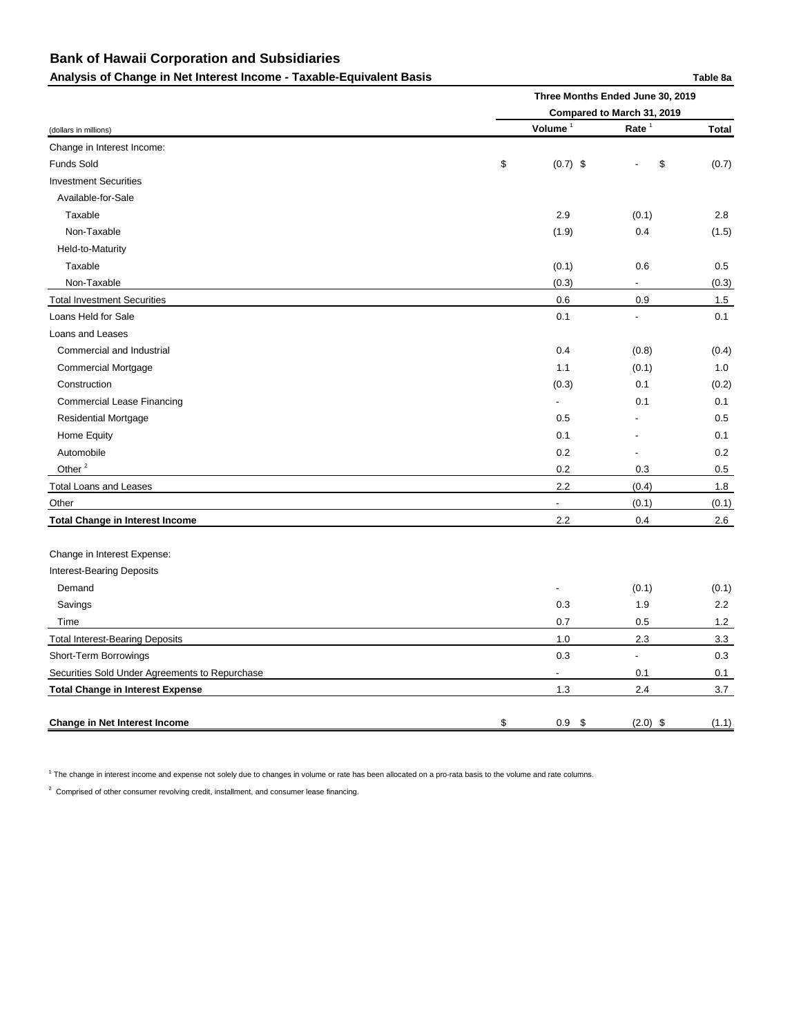## Analysis of Change in Net Interest Income - Taxable-Equivalent Basis **Table 3a** Table 8a

|                                                | Three Months Ended June 30, 2019 |                |              |  |  |  |  |  |
|------------------------------------------------|----------------------------------|----------------|--------------|--|--|--|--|--|
|                                                | Compared to March 31, 2019       |                |              |  |  |  |  |  |
| (dollars in millions)                          | Volume <sup>1</sup>              | Rate $1$       | <b>Total</b> |  |  |  |  |  |
| Change in Interest Income:                     |                                  |                |              |  |  |  |  |  |
| Funds Sold                                     | \$<br>$(0.7)$ \$                 | \$             | (0.7)        |  |  |  |  |  |
| <b>Investment Securities</b>                   |                                  |                |              |  |  |  |  |  |
| Available-for-Sale                             |                                  |                |              |  |  |  |  |  |
| Taxable                                        | 2.9                              | (0.1)          | 2.8          |  |  |  |  |  |
| Non-Taxable                                    | (1.9)                            | 0.4            | (1.5)        |  |  |  |  |  |
| Held-to-Maturity                               |                                  |                |              |  |  |  |  |  |
| Taxable                                        | (0.1)                            | 0.6            | 0.5          |  |  |  |  |  |
| Non-Taxable                                    | (0.3)                            | $\sim$         | (0.3)        |  |  |  |  |  |
| <b>Total Investment Securities</b>             | 0.6                              | 0.9            | 1.5          |  |  |  |  |  |
| Loans Held for Sale                            | 0.1                              | $\blacksquare$ | 0.1          |  |  |  |  |  |
| Loans and Leases                               |                                  |                |              |  |  |  |  |  |
| Commercial and Industrial                      | 0.4                              | (0.8)          | (0.4)        |  |  |  |  |  |
| <b>Commercial Mortgage</b>                     | 1.1                              | (0.1)          | 1.0          |  |  |  |  |  |
| Construction                                   | (0.3)                            | 0.1            | (0.2)        |  |  |  |  |  |
| <b>Commercial Lease Financing</b>              |                                  | 0.1            | 0.1          |  |  |  |  |  |
| <b>Residential Mortgage</b>                    | 0.5                              |                | 0.5          |  |  |  |  |  |
| Home Equity                                    | 0.1                              |                | 0.1          |  |  |  |  |  |
| Automobile                                     | 0.2                              |                | 0.2          |  |  |  |  |  |
| Other <sup>2</sup>                             | 0.2                              | 0.3            | 0.5          |  |  |  |  |  |
| <b>Total Loans and Leases</b>                  | 2.2                              | (0.4)          | 1.8          |  |  |  |  |  |
| Other                                          | ٠                                | (0.1)          | (0.1)        |  |  |  |  |  |
| <b>Total Change in Interest Income</b>         | 2.2                              | 0.4            | 2.6          |  |  |  |  |  |
| Change in Interest Expense:                    |                                  |                |              |  |  |  |  |  |
| <b>Interest-Bearing Deposits</b>               |                                  |                |              |  |  |  |  |  |
| Demand                                         | $\overline{\phantom{a}}$         | (0.1)          | (0.1)        |  |  |  |  |  |
| Savings                                        | 0.3                              | 1.9            | 2.2          |  |  |  |  |  |
| Time                                           | 0.7                              | 0.5            | 1.2          |  |  |  |  |  |
| <b>Total Interest-Bearing Deposits</b>         | 1.0                              | 2.3            | 3.3          |  |  |  |  |  |
| Short-Term Borrowings                          | 0.3                              | $\blacksquare$ | 0.3          |  |  |  |  |  |
| Securities Sold Under Agreements to Repurchase | $\overline{\phantom{a}}$         | 0.1            | 0.1          |  |  |  |  |  |
| <b>Total Change in Interest Expense</b>        | 1.3                              | 2.4            | 3.7          |  |  |  |  |  |
| <b>Change in Net Interest Income</b>           | \$<br>$0.9$ \$                   | $(2.0)$ \$     | (1.1)        |  |  |  |  |  |

 $1$  The change in interest income and expense not solely due to changes in volume or rate has been allocated on a pro-rata basis to the volume and rate columns.

 $2$  Comprised of other consumer revolving credit, installment, and consumer lease financing.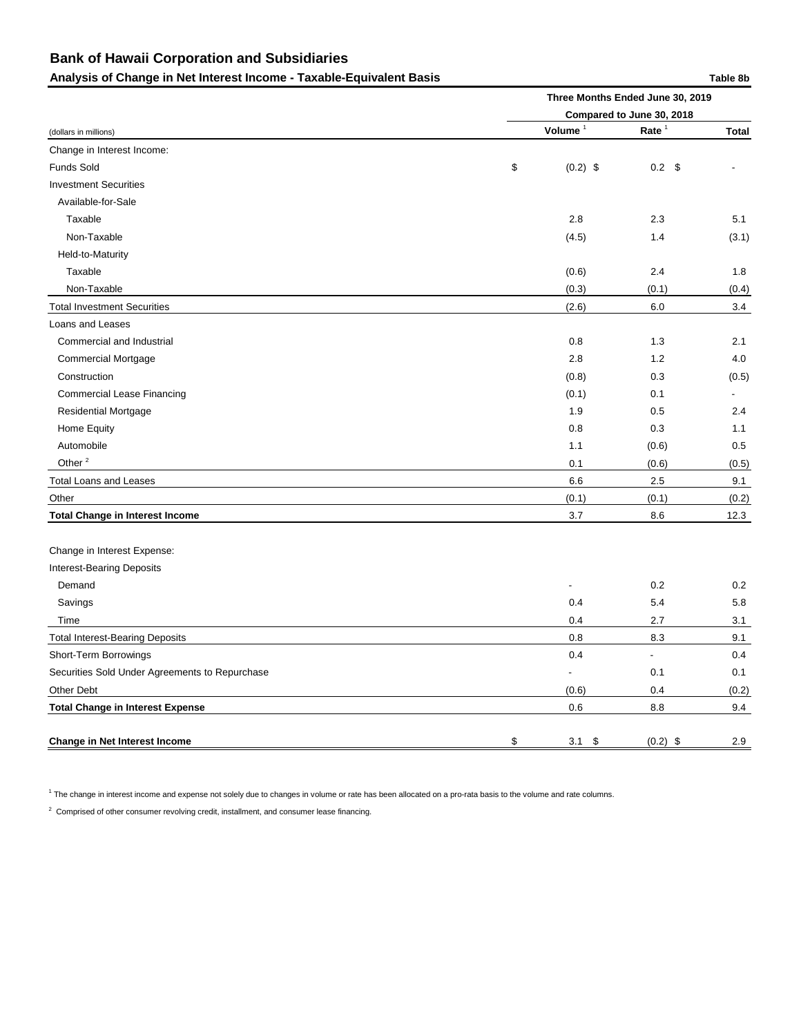## Analysis of Change in Net Interest Income - Taxable-Equivalent Basis **Table 3b** Table 8b

|                                                | Three Months Ended June 30, 2019 |               |                          |  |  |  |  |  |
|------------------------------------------------|----------------------------------|---------------|--------------------------|--|--|--|--|--|
|                                                | Compared to June 30, 2018        |               |                          |  |  |  |  |  |
| (dollars in millions)                          | Volume <sup>1</sup>              | Rate $1$      | <b>Total</b>             |  |  |  |  |  |
| Change in Interest Income:                     |                                  |               |                          |  |  |  |  |  |
| Funds Sold                                     | \$<br>$(0.2)$ \$                 | $0.2 \quad $$ |                          |  |  |  |  |  |
| <b>Investment Securities</b>                   |                                  |               |                          |  |  |  |  |  |
| Available-for-Sale                             |                                  |               |                          |  |  |  |  |  |
| Taxable                                        | 2.8                              | 2.3           | 5.1                      |  |  |  |  |  |
| Non-Taxable                                    | (4.5)                            | 1.4           | (3.1)                    |  |  |  |  |  |
| Held-to-Maturity                               |                                  |               |                          |  |  |  |  |  |
| Taxable                                        | (0.6)                            | 2.4           | 1.8                      |  |  |  |  |  |
| Non-Taxable                                    | (0.3)                            | (0.1)         | (0.4)                    |  |  |  |  |  |
| <b>Total Investment Securities</b>             | (2.6)                            | 6.0           | 3.4                      |  |  |  |  |  |
| Loans and Leases                               |                                  |               |                          |  |  |  |  |  |
| Commercial and Industrial                      | 0.8                              | 1.3           | 2.1                      |  |  |  |  |  |
| <b>Commercial Mortgage</b>                     | 2.8                              | 1.2           | 4.0                      |  |  |  |  |  |
| Construction                                   | (0.8)                            | 0.3           | (0.5)                    |  |  |  |  |  |
| <b>Commercial Lease Financing</b>              | (0.1)                            | 0.1           | $\overline{\phantom{a}}$ |  |  |  |  |  |
| <b>Residential Mortgage</b>                    | 1.9                              | 0.5           | 2.4                      |  |  |  |  |  |
| Home Equity                                    | 0.8                              | 0.3           | 1.1                      |  |  |  |  |  |
| Automobile                                     | $1.1$                            | (0.6)         | 0.5                      |  |  |  |  |  |
| Other <sup>2</sup>                             | 0.1                              | (0.6)         | (0.5)                    |  |  |  |  |  |
| <b>Total Loans and Leases</b>                  | 6.6                              | 2.5           | 9.1                      |  |  |  |  |  |
| Other                                          | (0.1)                            | (0.1)         | (0.2)                    |  |  |  |  |  |
| <b>Total Change in Interest Income</b>         | 3.7                              | 8.6           | 12.3                     |  |  |  |  |  |
| Change in Interest Expense:                    |                                  |               |                          |  |  |  |  |  |
| <b>Interest-Bearing Deposits</b>               |                                  |               |                          |  |  |  |  |  |
| Demand                                         |                                  | 0.2           | 0.2                      |  |  |  |  |  |
| Savings                                        | 0.4                              | 5.4           | 5.8                      |  |  |  |  |  |
| Time                                           | 0.4                              | 2.7           | 3.1                      |  |  |  |  |  |
| <b>Total Interest-Bearing Deposits</b>         | 0.8                              | 8.3           | 9.1                      |  |  |  |  |  |
| Short-Term Borrowings                          | 0.4                              |               | 0.4                      |  |  |  |  |  |
| Securities Sold Under Agreements to Repurchase |                                  | 0.1           | 0.1                      |  |  |  |  |  |
| Other Debt                                     | (0.6)                            | 0.4           | (0.2)                    |  |  |  |  |  |
| <b>Total Change in Interest Expense</b>        | $0.6\,$                          | 8.8           | 9.4                      |  |  |  |  |  |
| <b>Change in Net Interest Income</b>           | \$<br>$3.1 \quad $$              | $(0.2)$ \$    | 2.9                      |  |  |  |  |  |

 $^1$  The change in interest income and expense not solely due to changes in volume or rate has been allocated on a pro-rata basis to the volume and rate columns.

 $2$  Comprised of other consumer revolving credit, installment, and consumer lease financing.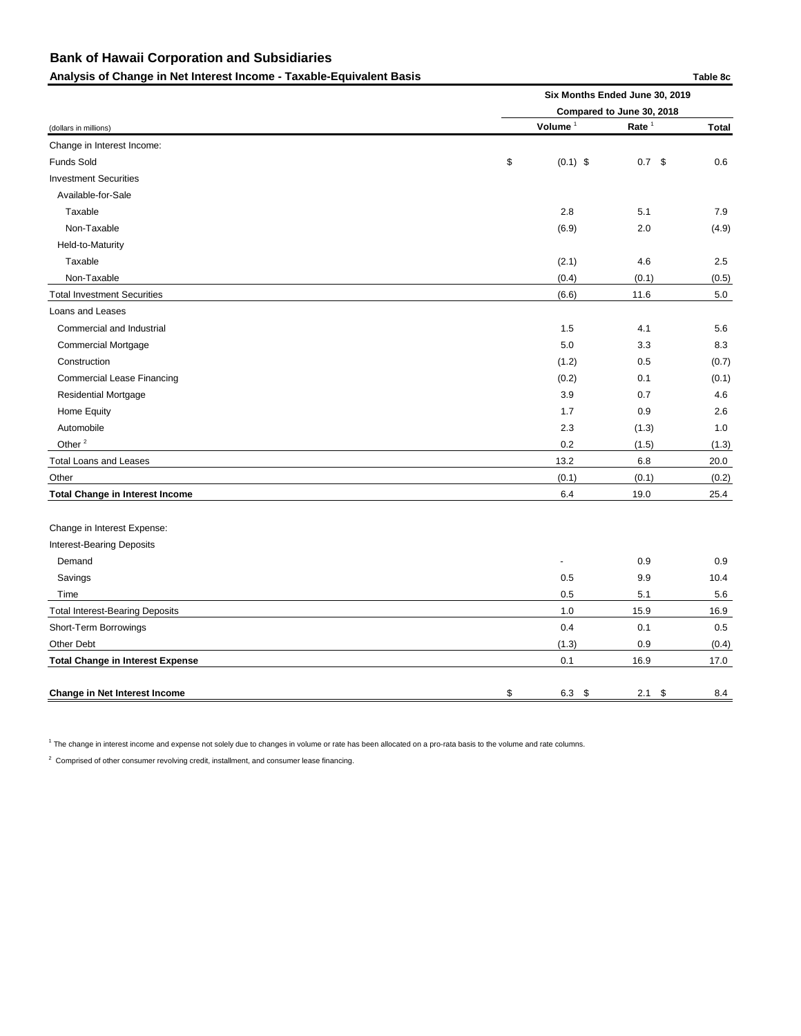Analysis of Change in Net Interest Income - Taxable-Equivalent Basis **Table 8c** and the Sc and Table 8c

(dollars in millions) **Volume** <sup>1</sup> **Rate** <sup>1</sup> **Total** Change in Interest Income: Funds Sold \$ (0.1) \$ 0.7 \$ 0.6 Investment Securities Available-for-Sale  $\blacksquare$  Taxable 2.8 5.1  $\blacksquare$  7.9 Non-Taxable (6.9) 2.0 (4.9) Held-to-Maturity Taxable (2.1) 4.6 2.5 Non-Taxable (0.4) (0.1) (0.5) Total Investment Securities 6.0 to the securities of the securities of the securities of the securities of the securities of the securities of the securities of the securities of the securities of the securities of the sec Loans and Leases Commercial and Industrial 1.5 4.1 5.6 Commercial Mortgage 6.3 8.3 8.3 Construction (1.2) 0.5 (0.7) Commercial Lease Financing (0.2) 0.1 (0.1) Residential Mortgage 3.9 0.7 4.6 Home Equity 1.7 0.9 2.6 Automobile 2.3 (1.3) 1.0 Other  $^{2}$  (1.5) (1.3) (1.3) Total Loans and Leases 20.0 Other (0.1) (0.1) (0.2) **Total Change in Interest Income** 6.4 19.0 25.4 Change in Interest Expense: Interest-Bearing Deposits Demand - 0.9 0.9 Savings 0.5 9.9 10.4 Time 2.5 5.6 5.1 5.6 5.1 5.6 5.1 5.6 5.1 5.6 5.1 5.5  $\mu$ Total Interest-Bearing Deposits 16.9 16.9 Short-Term Borrowings **0.4** 0.5 Other Debt (1.3) 0.9 (0.4) **Total Change in Interest Expense** 17.0 **Six Months Ended June 30, 2019 Compared to June 30, 2018**

**Change in Net Interest Income** 8.4 **6.3 \$** 2.1 \$ 8.4

 $^1$  The change in interest income and expense not solely due to changes in volume or rate has been allocated on a pro-rata basis to the volume and rate columns.

 $2$  Comprised of other consumer revolving credit, installment, and consumer lease financing.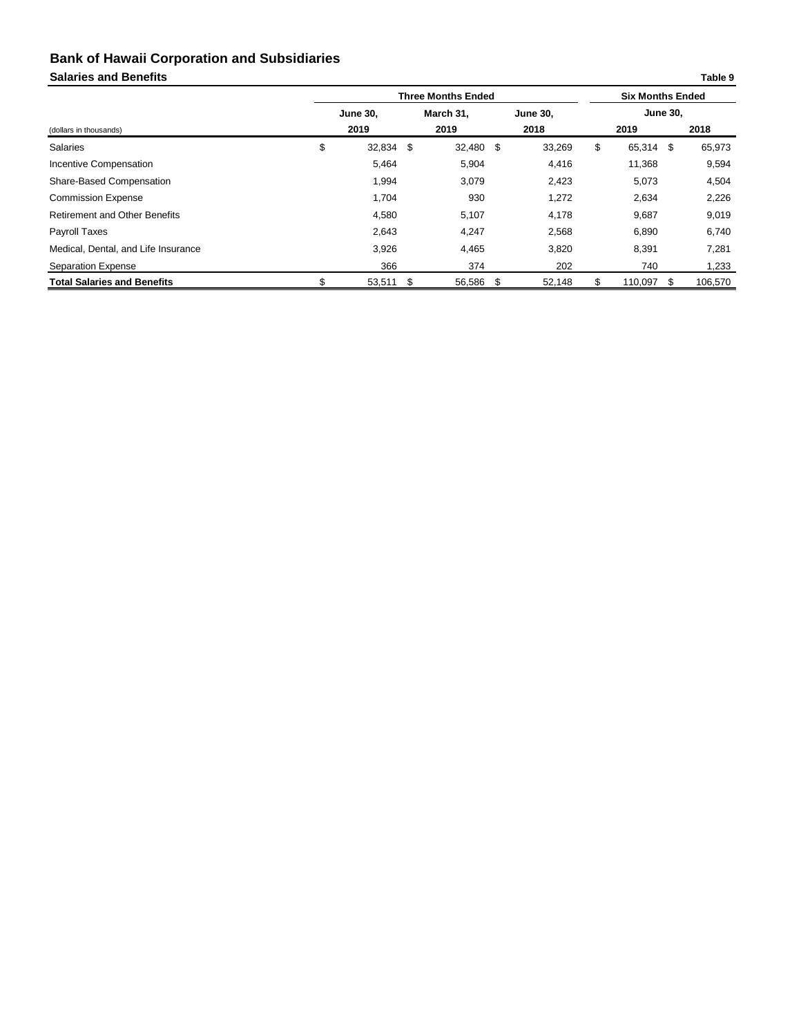## **Salaries and Benefits Table 9**

|                                      | <b>Three Months Ended</b> |    |           |  |                 |    | <b>Six Months Ended</b> |    |         |  |  |
|--------------------------------------|---------------------------|----|-----------|--|-----------------|----|-------------------------|----|---------|--|--|
|                                      | <b>June 30,</b>           |    | March 31, |  | <b>June 30,</b> |    | <b>June 30,</b>         |    |         |  |  |
| (dollars in thousands)               | 2019                      |    | 2019      |  | 2018            |    | 2019                    |    | 2018    |  |  |
| <b>Salaries</b>                      | \$<br>32,834              | \$ | 32,480 \$ |  | 33,269          | \$ | 65,314 \$               |    | 65,973  |  |  |
| Incentive Compensation               | 5,464                     |    | 5,904     |  | 4,416           |    | 11,368                  |    | 9,594   |  |  |
| <b>Share-Based Compensation</b>      | 1,994                     |    | 3,079     |  | 2,423           |    | 5,073                   |    | 4,504   |  |  |
| <b>Commission Expense</b>            | 1,704                     |    | 930       |  | 1,272           |    | 2,634                   |    | 2,226   |  |  |
| <b>Retirement and Other Benefits</b> | 4,580                     |    | 5,107     |  | 4,178           |    | 9,687                   |    | 9,019   |  |  |
| Payroll Taxes                        | 2,643                     |    | 4,247     |  | 2,568           |    | 6,890                   |    | 6,740   |  |  |
| Medical, Dental, and Life Insurance  | 3,926                     |    | 4,465     |  | 3,820           |    | 8,391                   |    | 7,281   |  |  |
| <b>Separation Expense</b>            | 366                       |    | 374       |  | 202             |    | 740                     |    | 1,233   |  |  |
| <b>Total Salaries and Benefits</b>   | \$<br>53,511              | \$ | 56,586 \$ |  | 52,148          | S  | 110,097                 | S. | 106,570 |  |  |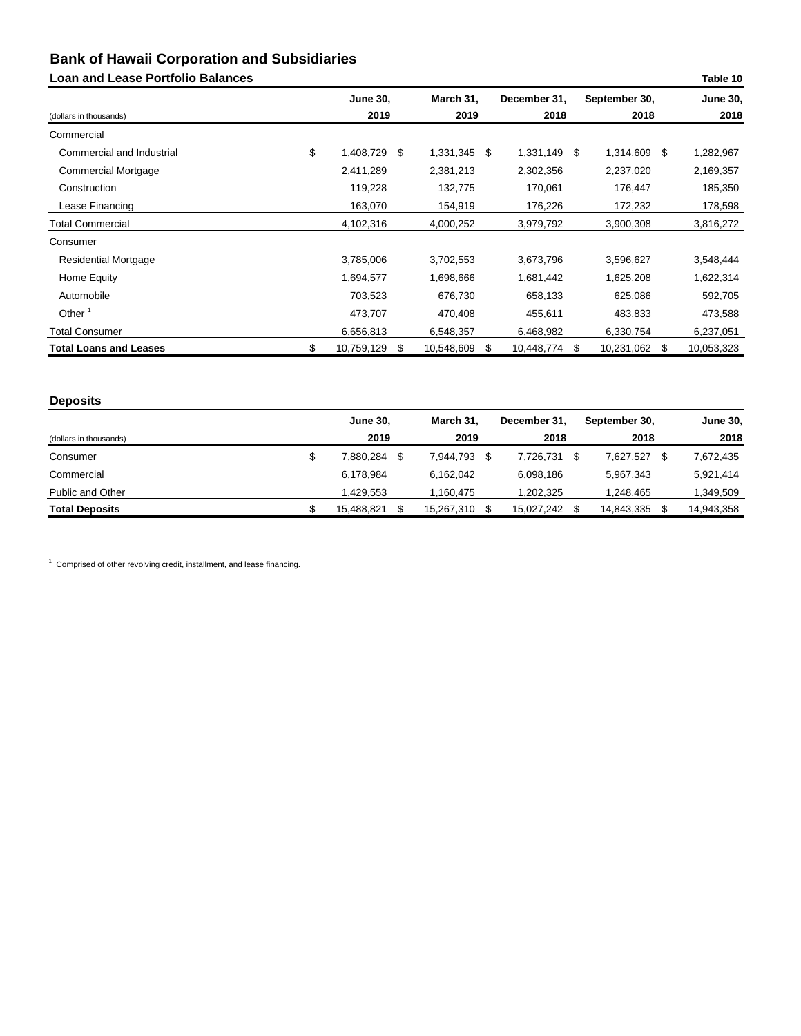## **Loan and Lease Portfolio Balances**

| <b>Loan and Lease Portfolio Balances</b> |                        |                  |              |                  |    | Table 10        |
|------------------------------------------|------------------------|------------------|--------------|------------------|----|-----------------|
|                                          | <b>June 30,</b>        | March 31,        | December 31, | September 30,    |    | <b>June 30,</b> |
| (dollars in thousands)                   | 2019                   | 2019             | 2018         | 2018             |    | 2018            |
| Commercial                               |                        |                  |              |                  |    |                 |
| Commercial and Industrial                | \$<br>1,408,729 \$     | 1,331,345<br>\$  | 1,331,149 \$ | 1,314,609        | S. | 1,282,967       |
| <b>Commercial Mortgage</b>               | 2,411,289              | 2,381,213        | 2,302,356    | 2,237,020        |    | 2,169,357       |
| Construction                             | 119,228                | 132,775          | 170,061      | 176,447          |    | 185,350         |
| Lease Financing                          | 163,070                | 154,919          | 176,226      | 172,232          |    | 178,598         |
| <b>Total Commercial</b>                  | 4,102,316              | 4,000,252        | 3,979,792    | 3,900,308        |    | 3,816,272       |
| Consumer                                 |                        |                  |              |                  |    |                 |
| <b>Residential Mortgage</b>              | 3,785,006              | 3,702,553        | 3,673,796    | 3,596,627        |    | 3,548,444       |
| Home Equity                              | 1,694,577              | 1,698,666        | 1,681,442    | 1,625,208        |    | 1,622,314       |
| Automobile                               | 703,523                | 676,730          | 658,133      | 625,086          |    | 592,705         |
| Other $1$                                | 473,707                | 470,408          | 455,611      | 483,833          |    | 473,588         |
| <b>Total Consumer</b>                    | 6,656,813              | 6,548,357        | 6,468,982    | 6,330,754        |    | 6,237,051       |
| <b>Total Loans and Leases</b>            | \$<br>10,759,129<br>\$ | 10,548,609<br>\$ | 10,448,774   | 10,231,062<br>\$ | \$ | 10,053,323      |

## **Deposits**

|                         | <b>June 30.</b> | March 31.  | December 31, | September 30, | <b>June 30,</b> |
|-------------------------|-----------------|------------|--------------|---------------|-----------------|
| (dollars in thousands)  | 2019            | 2019       | 2018         | 2018          | 2018            |
| Consumer                | \$<br>7,880,284 | 7,944,793  | 7,726,731    | 7,627,527     | 7,672,435       |
| Commercial              | 6,178,984       | 6,162,042  | 6,098,186    | 5,967,343     | 5,921,414       |
| <b>Public and Other</b> | 1,429,553       | 1.160.475  | 1,202,325    | 1,248,465     | 1,349,509       |
| <b>Total Deposits</b>   | 15,488,821      | 15,267,310 | 15,027,242   | 14,843,335    | 14,943,358      |

<sup>1</sup> Comprised of other revolving credit, installment, and lease financing.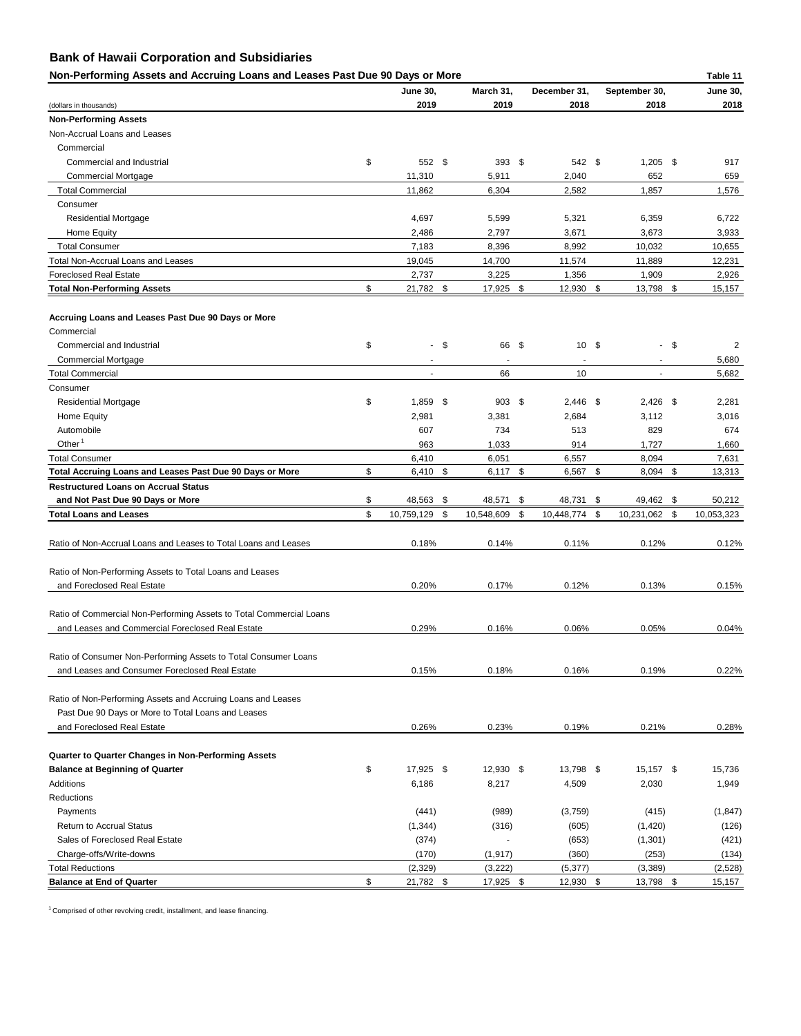| Non-Performing Assets and Accruing Loans and Leases Past Due 90 Days or More |                  |        |                        |                  |                                          | Table 11        |
|------------------------------------------------------------------------------|------------------|--------|------------------------|------------------|------------------------------------------|-----------------|
|                                                                              | <b>June 30,</b>  |        | March 31,              | December 31,     | September 30,                            | <b>June 30,</b> |
| (dollars in thousands)                                                       | 2019             |        | 2019                   | 2018             | 2018                                     | 2018            |
| <b>Non-Performing Assets</b>                                                 |                  |        |                        |                  |                                          |                 |
| Non-Accrual Loans and Leases                                                 |                  |        |                        |                  |                                          |                 |
| Commercial                                                                   |                  |        |                        |                  |                                          |                 |
| Commercial and Industrial                                                    | \$<br>552 \$     |        | 393 $$$                | 542 \$           | $1,205$ \$                               | 917             |
| <b>Commercial Mortgage</b>                                                   | 11,310           |        | 5,911                  | 2,040            | 652                                      | 659             |
| <b>Total Commercial</b>                                                      | 11,862           |        | 6,304                  | 2,582            | 1,857                                    | 1,576           |
| Consumer                                                                     |                  |        |                        |                  |                                          |                 |
| <b>Residential Mortgage</b>                                                  | 4,697            |        | 5,599                  | 5,321            | 6,359                                    | 6,722           |
| Home Equity                                                                  | 2,486            |        | 2,797                  | 3,671            | 3,673                                    | 3,933           |
| <b>Total Consumer</b>                                                        | 7,183            |        | 8,396                  | 8,992            | 10,032                                   | 10,655          |
| <b>Total Non-Accrual Loans and Leases</b>                                    | 19,045           |        | 14,700                 | 11,574           | 11,889                                   | 12,231          |
| <b>Foreclosed Real Estate</b>                                                | 2,737            |        | 3,225                  | 1,356            | 1,909                                    | 2,926           |
| <b>Total Non-Performing Assets</b>                                           | \$<br>21,782 \$  |        | 17,925 \$              | 12,930 \$        | 13,798 \$                                | 15,157          |
| Accruing Loans and Leases Past Due 90 Days or More                           |                  |        |                        |                  |                                          |                 |
| Commercial                                                                   |                  |        |                        |                  |                                          |                 |
| Commercial and Industrial                                                    | \$               | $-$ \$ | 66 \$                  | $10 \, \text{S}$ | $-$ \$                                   | $\overline{2}$  |
| <b>Commercial Mortgage</b>                                                   | $\blacksquare$   |        |                        |                  |                                          | 5,680           |
| <b>Total Commercial</b>                                                      |                  |        | 66                     | 10               |                                          | 5,682           |
| Consumer                                                                     |                  |        |                        |                  |                                          |                 |
| <b>Residential Mortgage</b>                                                  | \$<br>$1,859$ \$ |        | $903$ \$               | $2,446$ \$       | $2,426$ \$                               | 2,281           |
| <b>Home Equity</b>                                                           | 2,981            |        | 3,381                  | 2,684            | 3,112                                    | 3,016           |
| Automobile                                                                   | 607              |        | 734                    | 513              | 829                                      | 674             |
| Other $1$                                                                    | 963              |        | 1,033                  | 914              | 1,727                                    | 1,660           |
| <b>Total Consumer</b>                                                        | 6,410            |        | 6,051                  | 6,557            | 8,094                                    | 7,631           |
| Total Accruing Loans and Leases Past Due 90 Days or More                     | \$<br>6,410 \$   |        | $\sqrt[6]{3}$<br>6,117 | 6,567            | \$<br>$\boldsymbol{\mathsf{S}}$<br>8,094 | 13,313          |
| <b>Restructured Loans on Accrual Status</b>                                  |                  |        |                        |                  |                                          |                 |
| and Not Past Due 90 Days or More                                             | \$<br>48,563 \$  |        | 48,571 \$              | 48,731 \$        | 49,462 \$                                | 50,212          |
| <b>Total Loans and Leases</b>                                                | \$<br>10,759,129 | \$     | 10,548,609             | \$<br>10,448,774 | \$<br>10,231,062<br>\$                   | 10,053,323      |
| Ratio of Non-Accrual Loans and Leases to Total Loans and Leases              | 0.18%            |        | 0.14%                  | 0.11%            | 0.12%                                    | 0.12%           |
| Ratio of Non-Performing Assets to Total Loans and Leases                     |                  |        |                        |                  |                                          |                 |
| and Foreclosed Real Estate                                                   | 0.20%            |        | 0.17%                  | 0.12%            | 0.13%                                    | 0.15%           |
| Ratio of Commercial Non-Performing Assets to Total Commercial Loans          |                  |        |                        |                  |                                          |                 |
| and Leases and Commercial Foreclosed Real Estate                             | 0.29%            |        | 0.16%                  | 0.06%            | 0.05%                                    | 0.04%           |
|                                                                              |                  |        |                        |                  |                                          |                 |
| Ratio of Consumer Non-Performing Assets to Total Consumer Loans              |                  |        |                        |                  |                                          |                 |
| and Leases and Consumer Foreclosed Real Estate                               | 0.15%            |        | 0.18%                  | 0.16%            | 0.19%                                    | 0.22%           |
| Ratio of Non-Performing Assets and Accruing Loans and Leases                 |                  |        |                        |                  |                                          |                 |
| Past Due 90 Days or More to Total Loans and Leases                           |                  |        |                        |                  |                                          |                 |
| and Foreclosed Real Estate                                                   | 0.26%            |        | 0.23%                  | 0.19%            | 0.21%                                    | 0.28%           |
| <b>Quarter to Quarter Changes in Non-Performing Assets</b>                   |                  |        |                        |                  |                                          |                 |
| <b>Balance at Beginning of Quarter</b>                                       | \$<br>17,925 \$  |        | 12,930 \$              | 13,798 \$        | $15,157$ \$                              | 15,736          |
| Additions                                                                    | 6,186            |        | 8,217                  | 4,509            | 2,030                                    | 1,949           |

Reductions

| <b>Balance at End of Quarter</b> | 21,782   | 17,925                   | 12,930   | 13,798   | 15,157   |
|----------------------------------|----------|--------------------------|----------|----------|----------|
| Total Reductions                 | (2, 329) | (3,222)                  | (5, 377) | (3,389)  | (2,528)  |
| Charge-offs/Write-downs          | (170)    | (1, 917)                 | (360)    | (253)    | (134)    |
| Sales of Foreclosed Real Estate  | (374)    | $\overline{\phantom{a}}$ | (653)    | (1,301)  | (421)    |
| <b>Return to Accrual Status</b>  | (1, 344) | (316)                    | (605)    | (1, 420) | (126)    |
| Payments                         | (441)    | (989)                    | (3,759)  | (415)    | (1, 847) |

 $1$  Comprised of other revolving credit, installment, and lease financing.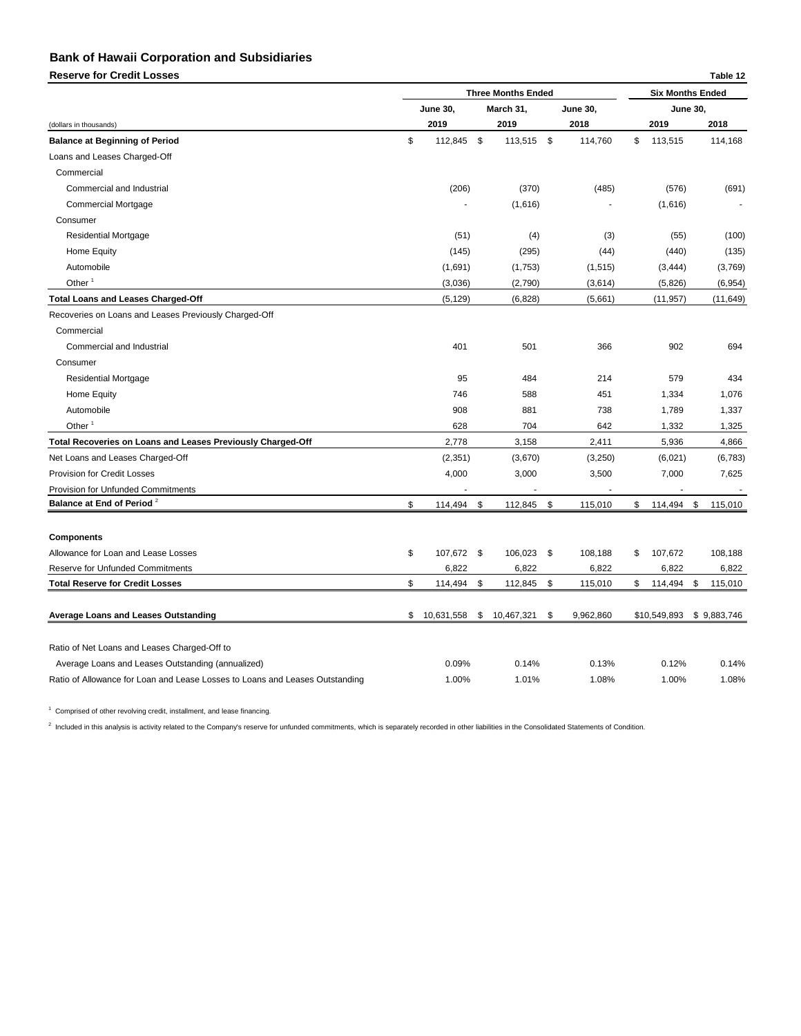**Reserve for Credit Losses Table 12**

|                                                                              | <b>Three Months Ended</b> |                 |                           | <b>Six Months Ended</b> |                 |              |                 |    |             |
|------------------------------------------------------------------------------|---------------------------|-----------------|---------------------------|-------------------------|-----------------|--------------|-----------------|----|-------------|
|                                                                              |                           | <b>June 30,</b> |                           | March 31,               | <b>June 30,</b> |              | <b>June 30,</b> |    |             |
| (dollars in thousands)                                                       |                           | 2019            |                           | 2019                    | 2018            |              | 2019            |    | 2018        |
| <b>Balance at Beginning of Period</b>                                        | \$                        | 112,845         | \$                        | 113,515 \$              | 114,760         | \$           | 113,515         |    | 114,168     |
| Loans and Leases Charged-Off                                                 |                           |                 |                           |                         |                 |              |                 |    |             |
| Commercial                                                                   |                           |                 |                           |                         |                 |              |                 |    |             |
| Commercial and Industrial                                                    |                           | (206)           |                           | (370)                   | (485)           |              | (576)           |    | (691)       |
| <b>Commercial Mortgage</b>                                                   |                           | $\blacksquare$  |                           | (1,616)                 | ٠               |              | (1,616)         |    |             |
| Consumer                                                                     |                           |                 |                           |                         |                 |              |                 |    |             |
| <b>Residential Mortgage</b>                                                  |                           | (51)            |                           | (4)                     | (3)             |              | (55)            |    | (100)       |
| Home Equity                                                                  |                           | (145)           |                           | (295)                   | (44)            |              | (440)           |    | (135)       |
| Automobile                                                                   |                           | (1,691)         |                           | (1,753)                 | (1, 515)        |              | (3, 444)        |    | (3,769)     |
| Other $1$                                                                    |                           | (3,036)         |                           | (2,790)                 | (3,614)         |              | (5,826)         |    | (6,954)     |
| <b>Total Loans and Leases Charged-Off</b>                                    |                           | (5, 129)        |                           | (6, 828)                | (5,661)         |              | (11, 957)       |    | (11, 649)   |
| Recoveries on Loans and Leases Previously Charged-Off                        |                           |                 |                           |                         |                 |              |                 |    |             |
| Commercial                                                                   |                           |                 |                           |                         |                 |              |                 |    |             |
| Commercial and Industrial                                                    |                           | 401             |                           | 501                     | 366             |              | 902             |    | 694         |
| Consumer                                                                     |                           |                 |                           |                         |                 |              |                 |    |             |
| <b>Residential Mortgage</b>                                                  |                           | 95              |                           | 484                     | 214             |              | 579             |    | 434         |
| Home Equity                                                                  |                           | 746             |                           | 588                     | 451             |              | 1,334           |    | 1,076       |
| Automobile                                                                   |                           | 908             |                           | 881                     | 738             |              | 1,789           |    | 1,337       |
| Other $1$                                                                    |                           | 628             |                           | 704                     | 642             |              | 1,332           |    | 1,325       |
| Total Recoveries on Loans and Leases Previously Charged-Off                  |                           | 2,778           |                           | 3,158                   | 2,411           |              | 5,936           |    | 4,866       |
| Net Loans and Leases Charged-Off                                             |                           | (2, 351)        |                           | (3,670)                 | (3,250)         |              | (6,021)         |    | (6, 783)    |
| <b>Provision for Credit Losses</b>                                           |                           | 4,000           |                           | 3,000                   | 3,500           |              | 7,000           |    | 7,625       |
| <b>Provision for Unfunded Commitments</b>                                    |                           |                 |                           |                         |                 |              |                 |    |             |
| Balance at End of Period <sup>2</sup>                                        | \$                        | 114,494         | \$                        | 112,845                 | \$<br>115,010   | $\mathbb{S}$ | 114,494         | \$ | 115,010     |
|                                                                              |                           |                 |                           |                         |                 |              |                 |    |             |
| <b>Components</b>                                                            |                           |                 |                           |                         |                 |              |                 |    |             |
| Allowance for Loan and Lease Losses                                          | $\frac{1}{2}$             | 107,672 \$      |                           | 106,023 \$              | 108,188         | \$           | 107,672         |    | 108,188     |
| <b>Reserve for Unfunded Commitments</b>                                      |                           | 6,822           |                           | 6,822                   | 6,822           |              | 6,822           |    | 6,822       |
| <b>Total Reserve for Credit Losses</b>                                       | \$                        | 114,494         | $\boldsymbol{\mathsf{S}}$ | 112,845 \$              | 115,010         | \$           | 114,494         | \$ | 115,010     |
| <b>Average Loans and Leases Outstanding</b>                                  | \$                        | 10,631,558      | \$                        | 10,467,321              | \$<br>9,962,860 |              | \$10,549,893    |    | \$9,883,746 |
| Ratio of Net Loans and Leases Charged-Off to                                 |                           |                 |                           |                         |                 |              |                 |    |             |
| Average Loans and Leases Outstanding (annualized)                            |                           | 0.09%           |                           | 0.14%                   | 0.13%           |              | 0.12%           |    | 0.14%       |
| Ratio of Allowance for Loan and Lease Losses to Loans and Leases Outstanding |                           | 1.00%           |                           | 1.01%                   | 1.08%           |              | 1.00%           |    | 1.08%       |

<sup>1</sup> Comprised of other revolving credit, installment, and lease financing.

 $^2$  Included in this analysis is activity related to the Company's reserve for unfunded commitments, which is separately recorded in other liabilities in the Consolidated Statements of Condition.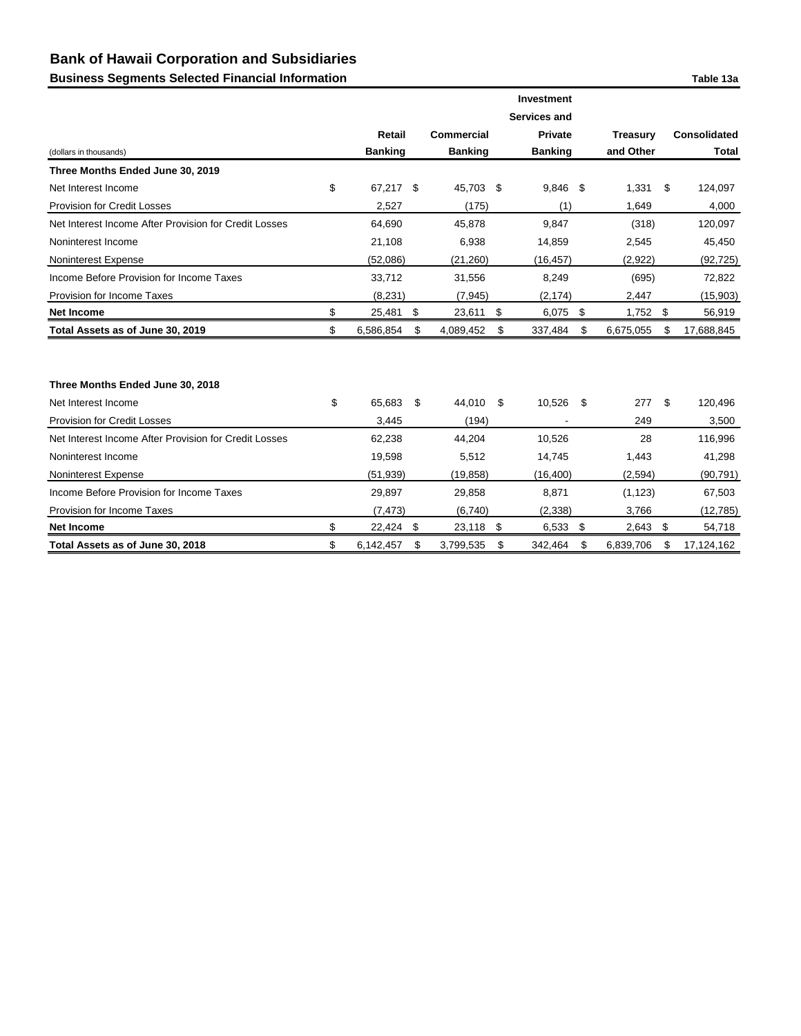# **Business Segments Selected Financial Information Table 13a**

|                                                       |                 |      |                |               | Investment          |               |                 |    |                     |
|-------------------------------------------------------|-----------------|------|----------------|---------------|---------------------|---------------|-----------------|----|---------------------|
|                                                       |                 |      |                |               | <b>Services and</b> |               |                 |    |                     |
|                                                       | <b>Retail</b>   |      | Commercial     |               | <b>Private</b>      |               | <b>Treasury</b> |    | <b>Consolidated</b> |
| (dollars in thousands)                                | <b>Banking</b>  |      | <b>Banking</b> |               | <b>Banking</b>      |               | and Other       |    | <b>Total</b>        |
| Three Months Ended June 30, 2019                      |                 |      |                |               |                     |               |                 |    |                     |
| Net Interest Income                                   | \$<br>67,217 \$ |      | 45,703 \$      |               | 9,846 \$            |               | 1,331           | S. | 124,097             |
| <b>Provision for Credit Losses</b>                    | 2,527           |      | (175)          |               | (1)                 |               | 1,649           |    | 4,000               |
| Net Interest Income After Provision for Credit Losses | 64,690          |      | 45,878         |               | 9,847               |               | (318)           |    | 120,097             |
| Noninterest Income                                    | 21,108          |      | 6,938          |               | 14,859              |               | 2,545           |    | 45,450              |
| Noninterest Expense                                   | (52,086)        |      | (21, 260)      |               | (16, 457)           |               | (2,922)         |    | (92, 725)           |
| Income Before Provision for Income Taxes              | 33,712          |      | 31,556         |               | 8,249               |               | (695)           |    | 72,822              |
| Provision for Income Taxes                            | (8, 231)        |      | (7, 945)       |               | (2, 174)            |               | 2,447           |    | (15,903)            |
| <b>Net Income</b>                                     | \$<br>25,481    | - \$ | 23,611         | \$            | $6,075$ \$          |               | $1,752$ \$      |    | 56,919              |
| Total Assets as of June 30, 2019                      | \$<br>6,586,854 | \$   | 4,089,452      | \$            | 337,484             | \$            | 6,675,055       | \$ | 17,688,845          |
|                                                       |                 |      |                |               |                     |               |                 |    |                     |
|                                                       |                 |      |                |               |                     |               |                 |    |                     |
| Three Months Ended June 30, 2018                      |                 |      |                |               |                     |               |                 |    |                     |
| Net Interest Income                                   | \$<br>65,683    | \$   | 44,010         | \$            | 10,526              | - \$          | 277             | \$ | 120,496             |
| <b>Provision for Credit Losses</b>                    | 3,445           |      | (194)          |               |                     |               | 249             |    | 3,500               |
| Net Interest Income After Provision for Credit Losses | 62,238          |      | 44,204         |               | 10,526              |               | 28              |    | 116,996             |
| Noninterest Income                                    | 19,598          |      | 5,512          |               | 14,745              |               | 1,443           |    | 41,298              |
| Noninterest Expense                                   | (51, 939)       |      | (19, 858)      |               | (16, 400)           |               | (2, 594)        |    | (90, 791)           |
| Income Before Provision for Income Taxes              | 29,897          |      | 29,858         |               | 8,871               |               | (1, 123)        |    | 67,503              |
| Provision for Income Taxes                            | (7, 473)        |      | (6,740)        |               | (2, 338)            |               | 3,766           |    | (12, 785)           |
| <b>Net Income</b>                                     | \$<br>22,424    | \$   | 23,118         | $\sqrt[6]{3}$ | 6,533               | $\frac{1}{2}$ | 2,643           | \$ | 54,718              |
| Total Assets as of June 30, 2018                      | \$<br>6,142,457 | \$   | 3,799,535      | \$            | 342,464             | \$            | 6,839,706       | \$ | 17,124,162          |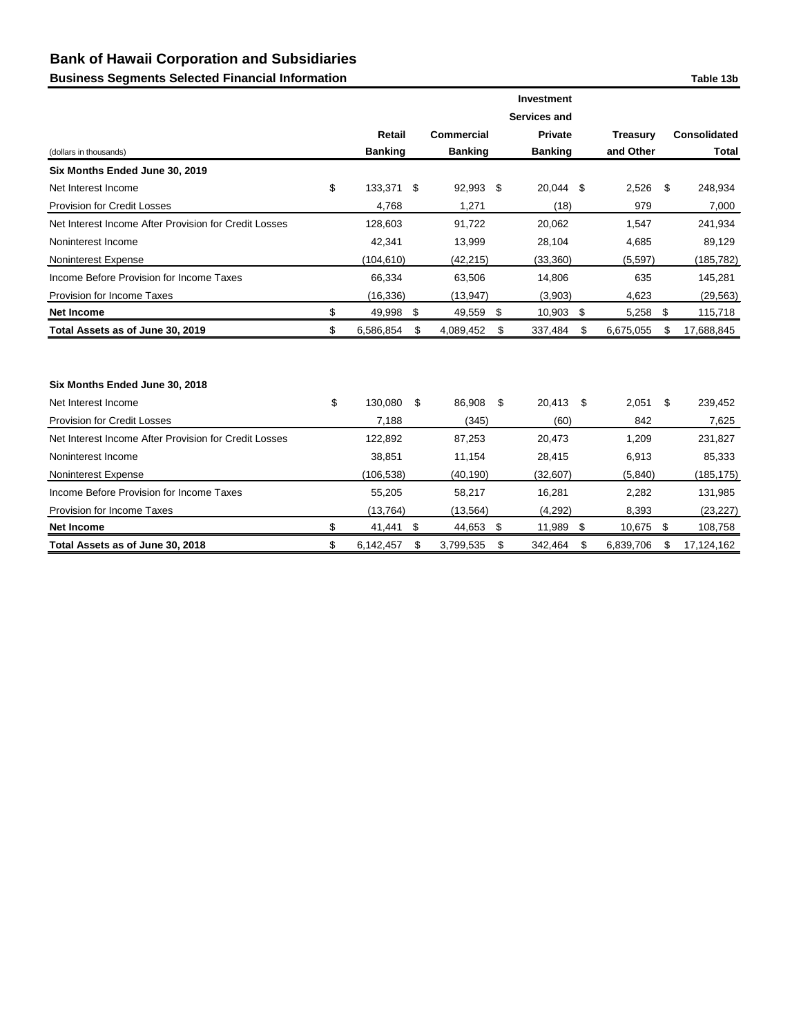# **Business Segments Selected Financial Information Table 13b**

|                                                       |                  |                           |                   |               | <b>Investment</b>   |                 |                     |
|-------------------------------------------------------|------------------|---------------------------|-------------------|---------------|---------------------|-----------------|---------------------|
|                                                       |                  |                           |                   |               | <b>Services and</b> |                 |                     |
|                                                       | <b>Retail</b>    |                           | <b>Commercial</b> |               | <b>Private</b>      | <b>Treasury</b> | <b>Consolidated</b> |
| (dollars in thousands)                                | <b>Banking</b>   |                           | <b>Banking</b>    |               | <b>Banking</b>      | and Other       | <b>Total</b>        |
| Six Months Ended June 30, 2019                        |                  |                           |                   |               |                     |                 |                     |
| Net Interest Income                                   | \$<br>133,371 \$ |                           | 92,993 \$         |               | 20,044 \$           | 2,526           | \$<br>248,934       |
| <b>Provision for Credit Losses</b>                    | 4,768            |                           | 1,271             |               | (18)                | 979             | 7,000               |
| Net Interest Income After Provision for Credit Losses | 128,603          |                           | 91,722            |               | 20,062              | 1,547           | 241,934             |
| Noninterest Income                                    | 42,341           |                           | 13,999            |               | 28,104              | 4,685           | 89,129              |
| Noninterest Expense                                   | (104, 610)       |                           | (42, 215)         |               | (33, 360)           | (5, 597)        | (185, 782)          |
| Income Before Provision for Income Taxes              | 66,334           |                           | 63,506            |               | 14,806              | 635             | 145,281             |
| Provision for Income Taxes                            | (16, 336)        |                           | (13, 947)         |               | (3,903)             | 4,623           | (29, 563)           |
| <b>Net Income</b>                                     | \$<br>49,998     | $\sqrt{3}$                | 49,559 \$         |               | 10,903              | \$<br>5,258     | \$<br>115,718       |
| Total Assets as of June 30, 2019                      | \$<br>6,586,854  | \$                        | 4,089,452         | \$            | 337,484             | \$<br>6,675,055 | \$<br>17,688,845    |
|                                                       |                  |                           |                   |               |                     |                 |                     |
|                                                       |                  |                           |                   |               |                     |                 |                     |
| Six Months Ended June 30, 2018                        |                  |                           |                   |               |                     |                 |                     |
| Net Interest Income                                   | \$<br>130,080    | \$                        | 86,908            | \$            | 20,413              | \$<br>2,051     | \$<br>239,452       |
| <b>Provision for Credit Losses</b>                    | 7,188            |                           | (345)             |               | (60)                | 842             | 7,625               |
| Net Interest Income After Provision for Credit Losses | 122,892          |                           | 87,253            |               | 20,473              | 1,209           | 231,827             |
| Noninterest Income                                    | 38,851           |                           | 11,154            |               | 28,415              | 6,913           | 85,333              |
| Noninterest Expense                                   | (106, 538)       |                           | (40, 190)         |               | (32, 607)           | (5, 840)        | (185, 175)          |
| Income Before Provision for Income Taxes              | 55,205           |                           | 58,217            |               | 16,281              | 2,282           | 131,985             |
| Provision for Income Taxes                            | (13, 764)        |                           | (13, 564)         |               | (4, 292)            | 8,393           | (23, 227)           |
| <b>Net Income</b>                                     | \$<br>41,441     | $\boldsymbol{\mathsf{S}}$ | 44,653            | $\sqrt[6]{3}$ | 11,989              | \$<br>10,675    | \$<br>108,758       |
| Total Assets as of June 30, 2018                      | \$<br>6,142,457  | \$                        | 3,799,535         | \$            | 342,464             | \$<br>6,839,706 | \$<br>17,124,162    |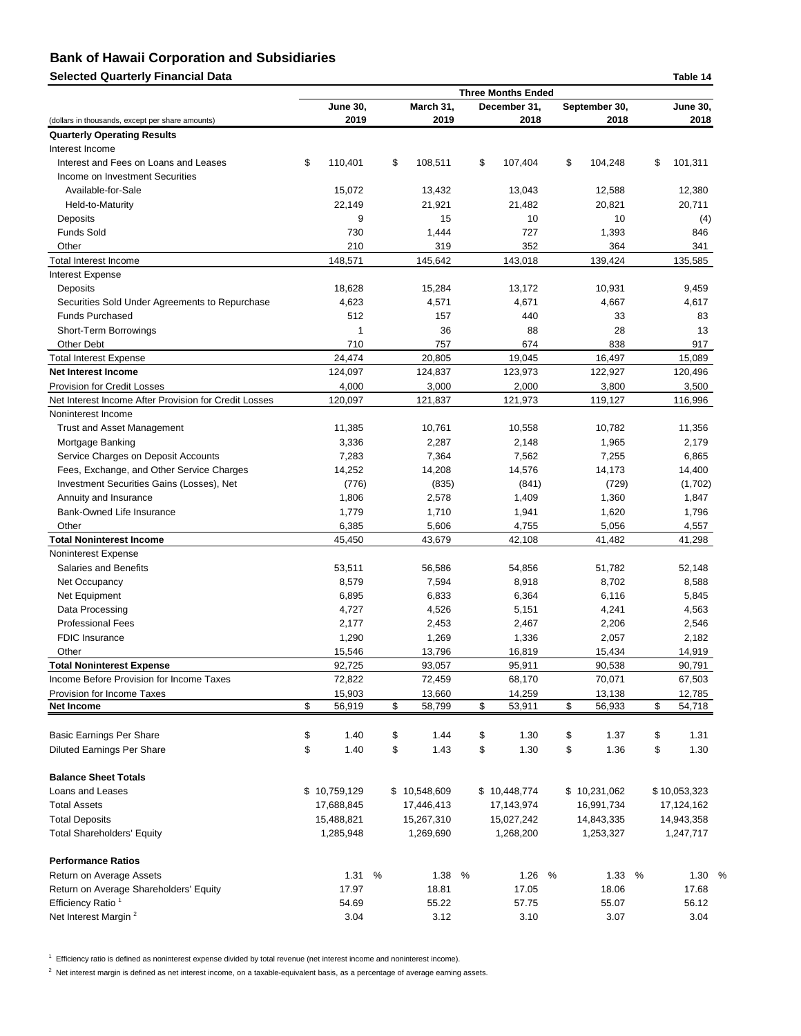**Selected Quarterly Financial Data Table 14**

|                                                       |                 |   |               |   | <b>Three Months Ended</b> |   |               |   | , uwie 17       |  |
|-------------------------------------------------------|-----------------|---|---------------|---|---------------------------|---|---------------|---|-----------------|--|
|                                                       | <b>June 30,</b> |   | March 31,     |   | December 31,              |   | September 30, |   | <b>June 30,</b> |  |
| (dollars in thousands, except per share amounts)      | 2019            |   | 2019          |   | 2018                      |   | 2018          |   | 2018            |  |
| <b>Quarterly Operating Results</b>                    |                 |   |               |   |                           |   |               |   |                 |  |
| Interest Income                                       |                 |   |               |   |                           |   |               |   |                 |  |
| Interest and Fees on Loans and Leases                 | \$<br>110,401   |   | \$<br>108,511 |   | \$<br>107,404             |   | \$<br>104,248 |   | \$<br>101,311   |  |
| Income on Investment Securities                       |                 |   |               |   |                           |   |               |   |                 |  |
| Available-for-Sale                                    | 15,072          |   | 13,432        |   | 13,043                    |   | 12,588        |   | 12,380          |  |
| Held-to-Maturity                                      | 22,149          |   | 21,921        |   | 21,482                    |   | 20,821        |   | 20,711          |  |
| Deposits                                              | 9               |   | 15            |   | 10                        |   | 10            |   | (4)             |  |
| <b>Funds Sold</b>                                     | 730             |   | 1,444         |   | 727                       |   | 1,393         |   | 846             |  |
| Other                                                 | 210             |   | 319           |   | 352                       |   | 364           |   | 341             |  |
| <b>Total Interest Income</b>                          | 148,571         |   | 145,642       |   | 143,018                   |   | 139,424       |   | 135,585         |  |
| Interest Expense                                      |                 |   |               |   |                           |   |               |   |                 |  |
| Deposits                                              | 18,628          |   | 15,284        |   | 13,172                    |   | 10,931        |   | 9,459           |  |
| Securities Sold Under Agreements to Repurchase        | 4,623           |   | 4,571         |   | 4,671                     |   | 4,667         |   | 4,617           |  |
| <b>Funds Purchased</b>                                | 512             |   | 157           |   | 440                       |   | 33            |   | 83              |  |
| Short-Term Borrowings                                 | 1               |   | 36            |   | 88                        |   | 28            |   | 13              |  |
| <b>Other Debt</b>                                     | 710             |   | 757           |   | 674                       |   | 838           |   | 917             |  |
|                                                       |                 |   |               |   |                           |   |               |   |                 |  |
| <b>Total Interest Expense</b>                         | 24,474          |   | 20,805        |   | 19,045                    |   | 16,497        |   | 15,089          |  |
| <b>Net Interest Income</b>                            | 124,097         |   | 124,837       |   | 123,973                   |   | 122,927       |   | 120,496         |  |
| <b>Provision for Credit Losses</b>                    | 4,000           |   | 3,000         |   | 2,000                     |   | 3,800         |   | 3,500           |  |
| Net Interest Income After Provision for Credit Losses | 120,097         |   | 121,837       |   | 121,973                   |   | 119,127       |   | 116,996         |  |
| Noninterest Income                                    |                 |   |               |   |                           |   |               |   |                 |  |
| <b>Trust and Asset Management</b>                     | 11,385          |   | 10,761        |   | 10,558                    |   | 10,782        |   | 11,356          |  |
| Mortgage Banking                                      | 3,336           |   | 2,287         |   | 2,148                     |   | 1,965         |   | 2,179           |  |
| Service Charges on Deposit Accounts                   | 7,283           |   | 7,364         |   | 7,562                     |   | 7,255         |   | 6,865           |  |
| Fees, Exchange, and Other Service Charges             | 14,252          |   | 14,208        |   | 14,576                    |   | 14,173        |   | 14,400          |  |
| Investment Securities Gains (Losses), Net             | (776)           |   | (835)         |   | (841)                     |   | (729)         |   | (1,702)         |  |
| Annuity and Insurance                                 | 1,806           |   | 2,578         |   | 1,409                     |   | 1,360         |   | 1,847           |  |
| Bank-Owned Life Insurance                             | 1,779           |   | 1,710         |   | 1,941                     |   | 1,620         |   | 1,796           |  |
| Other                                                 | 6,385           |   | 5,606         |   | 4,755                     |   | 5,056         |   | 4,557           |  |
| <b>Total Noninterest Income</b>                       | 45,450          |   | 43,679        |   | 42,108                    |   | 41,482        |   | 41,298          |  |
| Noninterest Expense                                   |                 |   |               |   |                           |   |               |   |                 |  |
| <b>Salaries and Benefits</b>                          | 53,511          |   | 56,586        |   | 54,856                    |   | 51,782        |   | 52,148          |  |
| Net Occupancy                                         | 8,579           |   | 7,594         |   | 8,918                     |   | 8,702         |   | 8,588           |  |
| Net Equipment                                         | 6,895           |   | 6,833         |   | 6,364                     |   | 6,116         |   | 5,845           |  |
|                                                       |                 |   |               |   |                           |   |               |   |                 |  |
| Data Processing                                       | 4,727           |   | 4,526         |   | 5,151                     |   | 4,241         |   | 4,563           |  |
| <b>Professional Fees</b>                              | 2,177           |   | 2,453         |   | 2,467                     |   | 2,206         |   | 2,546           |  |
| <b>FDIC</b> Insurance                                 | 1,290           |   | 1,269         |   | 1,336                     |   | 2,057         |   | 2,182           |  |
| Other                                                 | 15,546          |   | 13,796        |   | 16,819                    |   | 15,434        |   | 14,919          |  |
| <b>Total Noninterest Expense</b>                      | 92,725          |   | 93,057        |   | 95,911                    |   | 90,538        |   | 90,791          |  |
| Income Before Provision for Income Taxes              | 72,822          |   | 72,459        |   | 68,170                    |   | 70,071        |   | 67,503          |  |
| Provision for Income Taxes                            | 15,903          |   | 13,660        |   | 14,259                    |   | 13,138        |   | 12,785          |  |
| <b>Net Income</b>                                     | \$<br>56,919    |   | \$<br>58,799  |   | \$<br>53,911              |   | \$<br>56,933  |   | \$<br>54,718    |  |
|                                                       |                 |   |               |   |                           |   |               |   |                 |  |
| <b>Basic Earnings Per Share</b>                       | \$<br>1.40      |   | \$<br>1.44    |   | \$<br>1.30                |   | \$<br>1.37    |   | \$<br>1.31      |  |
| <b>Diluted Earnings Per Share</b>                     | \$<br>1.40      |   | \$<br>1.43    |   | \$<br>1.30                |   | \$<br>1.36    |   | \$<br>1.30      |  |
|                                                       |                 |   |               |   |                           |   |               |   |                 |  |
| <b>Balance Sheet Totals</b>                           |                 |   |               |   |                           |   |               |   |                 |  |
| Loans and Leases                                      | \$10,759,129    |   | \$10,548,609  |   | \$10,448,774              |   | \$10,231,062  |   | \$10,053,323    |  |
| <b>Total Assets</b>                                   | 17,688,845      |   | 17,446,413    |   | 17,143,974                |   | 16,991,734    |   | 17,124,162      |  |
| <b>Total Deposits</b>                                 | 15,488,821      |   | 15,267,310    |   | 15,027,242                |   | 14,843,335    |   | 14,943,358      |  |
| <b>Total Shareholders' Equity</b>                     | 1,285,948       |   | 1,269,690     |   | 1,268,200                 |   | 1,253,327     |   | 1,247,717       |  |
| <b>Performance Ratios</b>                             |                 |   |               |   |                           |   |               |   |                 |  |
|                                                       | 1.31            | % | 1.38          | % | 1.26                      | % | 1.33          | % | 1.30            |  |
| Return on Average Assets                              |                 |   |               |   |                           |   |               |   |                 |  |
| Return on Average Shareholders' Equity                | 17.97           |   | 18.81         |   | 17.05                     |   | 18.06         |   | 17.68           |  |
| Efficiency Ratio <sup>1</sup>                         | 54.69           |   | 55.22         |   | 57.75                     |   | 55.07         |   | 56.12           |  |
| Net Interest Margin <sup>2</sup>                      | 3.04            |   | 3.12          |   | 3.10                      |   | 3.07          |   | 3.04            |  |

<sup>1</sup> Efficiency ratio is defined as noninterest expense divided by total revenue (net interest income and noninterest income).

 $^2$  Net interest margin is defined as net interest income, on a taxable-equivalent basis, as a percentage of average earning assets.